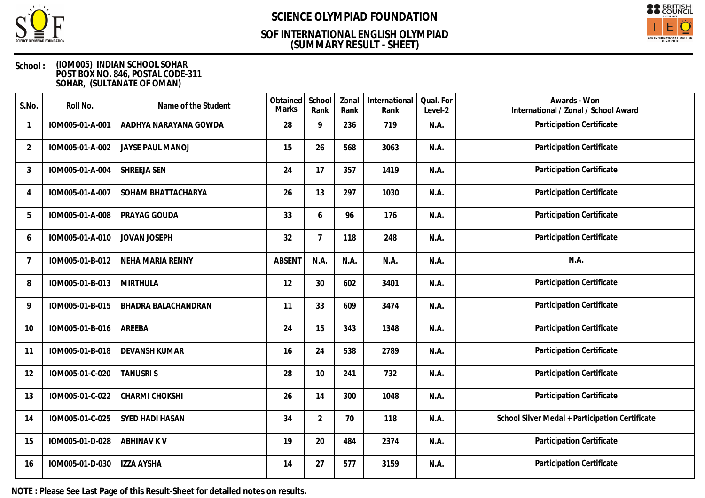

## **(SUMMARY RESULT - SHEET) SOF INTERNATIONAL ENGLISH OLYMPIAD**



### **School : (IOM005) INDIAN SCHOOL SOHAR POST BOX NO. 846, POSTAL CODE-311 SOHAR, (SULTANATE OF OMAN)**

| S.No.          | Roll No.        | Name of the Student        | Obtained<br><b>Marks</b> | School<br>Rank | Zonal<br>Rank | International<br>Rank | Qual. For<br>Level-2 | Awards - Won<br>International / Zonal / School Award |
|----------------|-----------------|----------------------------|--------------------------|----------------|---------------|-----------------------|----------------------|------------------------------------------------------|
|                | IOM005-01-A-001 | AADHYA NARAYANA GOWDA      | 28                       | 9              | 236           | 719                   | N.A.                 | Participation Certificate                            |
| $\overline{2}$ | IOM005-01-A-002 | <b>JAYSE PAUL MANOJ</b>    | 15                       | 26             | 568           | 3063                  | N.A.                 | Participation Certificate                            |
| 3              | IOM005-01-A-004 | SHREEJA SEN                | 24                       | 17             | 357           | 1419                  | N.A.                 | Participation Certificate                            |
| 4              | IOM005-01-A-007 | SOHAM BHATTACHARYA         | 26                       | 13             | 297           | 1030                  | N.A.                 | Participation Certificate                            |
| 5              | IOM005-01-A-008 | PRAYAG GOUDA               | 33                       | 6              | 96            | 176                   | N.A.                 | Participation Certificate                            |
| 6              | IOM005-01-A-010 | <b>JOVAN JOSEPH</b>        | 32                       | $\overline{7}$ | 118           | 248                   | N.A.                 | Participation Certificate                            |
| 7              | IOM005-01-B-012 | NEHA MARIA RENNY           | <b>ABSENT</b>            | N.A.           | N.A.          | N.A.                  | N.A.                 | N.A.                                                 |
| 8              | IOM005-01-B-013 | <b>MIRTHULA</b>            | 12                       | 30             | 602           | 3401                  | N.A.                 | Participation Certificate                            |
| 9              | IOM005-01-B-015 | <b>BHADRA BALACHANDRAN</b> | 11                       | 33             | 609           | 3474                  | N.A.                 | Participation Certificate                            |
| 10             | IOM005-01-B-016 | AREEBA                     | 24                       | 15             | 343           | 1348                  | N.A.                 | Participation Certificate                            |
| 11             | IOM005-01-B-018 | <b>DEVANSH KUMAR</b>       | 16                       | 24             | 538           | 2789                  | N.A.                 | Participation Certificate                            |
| 12             | IOM005-01-C-020 | <b>TANUSRIS</b>            | 28                       | 10             | 241           | 732                   | N.A.                 | Participation Certificate                            |
| 13             | IOM005-01-C-022 | CHARMI CHOKSHI             | 26                       | 14             | 300           | 1048                  | N.A.                 | Participation Certificate                            |
| 14             | IOM005-01-C-025 | SYED HADI HASAN            | 34                       | $\overline{2}$ | 70            | 118                   | N.A.                 | School Silver Medal + Participation Certificate      |
| 15             | IOM005-01-D-028 | <b>ABHINAV K V</b>         | 19                       | 20             | 484           | 2374                  | N.A.                 | Participation Certificate                            |
| 16             | IOM005-01-D-030 | <b>IZZA AYSHA</b>          | 14                       | 27             | 577           | 3159                  | N.A.                 | Participation Certificate                            |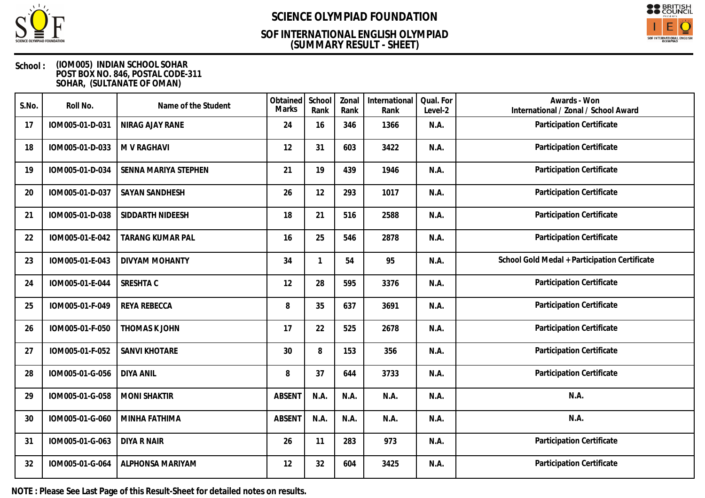

## **(SUMMARY RESULT - SHEET) SOF INTERNATIONAL ENGLISH OLYMPIAD**



### **School : (IOM005) INDIAN SCHOOL SOHAR POST BOX NO. 846, POSTAL CODE-311 SOHAR, (SULTANATE OF OMAN)**

| S.No. | Roll No.        | Name of the Student   | Obtained<br><b>Marks</b> | School<br>Rank | Zonal<br>Rank | International<br>Rank | Qual. For<br>Level-2 | Awards - Won<br>International / Zonal / School Award |
|-------|-----------------|-----------------------|--------------------------|----------------|---------------|-----------------------|----------------------|------------------------------------------------------|
| 17    | IOM005-01-D-031 | NIRAG AJAY RANE       | 24                       | 16             | 346           | 1366                  | N.A.                 | Participation Certificate                            |
| 18    | IOM005-01-D-033 | M V RAGHAVI           | 12                       | 31             | 603           | 3422                  | N.A.                 | Participation Certificate                            |
| 19    | IOM005-01-D-034 | SENNA MARIYA STEPHEN  | 21                       | 19             | 439           | 1946                  | N.A.                 | Participation Certificate                            |
| 20    | IOM005-01-D-037 | SAYAN SANDHESH        | 26                       | 12             | 293           | 1017                  | N.A.                 | Participation Certificate                            |
| 21    | IOM005-01-D-038 | SIDDARTH NIDEESH      | 18                       | 21             | 516           | 2588                  | N.A.                 | Participation Certificate                            |
| 22    | IOM005-01-E-042 | TARANG KUMAR PAL      | 16                       | 25             | 546           | 2878                  | N.A.                 | Participation Certificate                            |
| 23    | IOM005-01-E-043 | <b>DIVYAM MOHANTY</b> | 34                       |                | 54            | 95                    | N.A.                 | School Gold Medal + Participation Certificate        |
| 24    | IOM005-01-E-044 | SRESHTA C             | 12                       | 28             | 595           | 3376                  | N.A.                 | Participation Certificate                            |
| 25    | IOM005-01-F-049 | <b>REYA REBECCA</b>   | 8                        | 35             | 637           | 3691                  | N.A.                 | Participation Certificate                            |
| 26    | IOM005-01-F-050 | <b>THOMAS K JOHN</b>  | 17                       | 22             | 525           | 2678                  | N.A.                 | Participation Certificate                            |
| 27    | IOM005-01-F-052 | <b>SANVI KHOTARE</b>  | 30                       | 8              | 153           | 356                   | N.A.                 | Participation Certificate                            |
| 28    | IOM005-01-G-056 | <b>DIYA ANIL</b>      | 8                        | 37             | 644           | 3733                  | N.A.                 | Participation Certificate                            |
| 29    | IOM005-01-G-058 | <b>MONI SHAKTIR</b>   | <b>ABSENT</b>            | N.A.           | N.A.          | N.A.                  | N.A.                 | N.A.                                                 |
| 30    | IOM005-01-G-060 | MINHA FATHIMA         | <b>ABSENT</b>            | N.A.           | N.A.          | N.A.                  | N.A.                 | N.A.                                                 |
| 31    | IOM005-01-G-063 | <b>DIYA R NAIR</b>    | 26                       | 11             | 283           | 973                   | N.A.                 | Participation Certificate                            |
| 32    | IOM005-01-G-064 | ALPHONSA MARIYAM      | 12                       | 32             | 604           | 3425                  | N.A.                 | Participation Certificate                            |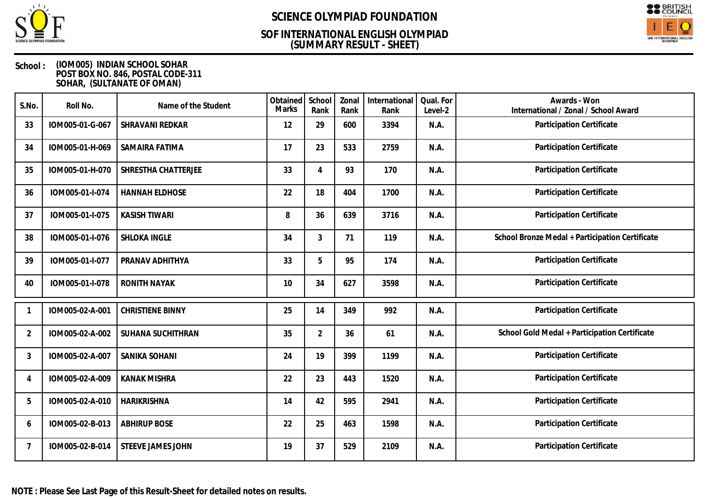

## **(SUMMARY RESULT - SHEET) SOF INTERNATIONAL ENGLISH OLYMPIAD**



### **School : (IOM005) INDIAN SCHOOL SOHAR POST BOX NO. 846, POSTAL CODE-311 SOHAR, (SULTANATE OF OMAN)**

| S.No.          | Roll No.        | Name of the Student     | Obtained<br>Marks | School<br>Rank | Zonal<br>Rank | International<br>Rank | Qual. For<br>Level-2 | Awards - Won<br>International / Zonal / School Award |
|----------------|-----------------|-------------------------|-------------------|----------------|---------------|-----------------------|----------------------|------------------------------------------------------|
| 33             | IOM005-01-G-067 | SHRAVANI REDKAR         | 12                | 29             | 600           | 3394                  | N.A.                 | Participation Certificate                            |
| 34             | IOM005-01-H-069 | SAMAIRA FATIMA          | 17                | 23             | 533           | 2759                  | N.A.                 | Participation Certificate                            |
| 35             | IOM005-01-H-070 | SHRESTHA CHATTERJEE     | 33                | $\overline{4}$ | 93            | 170                   | N.A.                 | Participation Certificate                            |
| 36             | IOM005-01-I-074 | <b>HANNAH ELDHOSE</b>   | 22                | 18             | 404           | 1700                  | N.A.                 | Participation Certificate                            |
| 37             | IOM005-01-I-075 | <b>KASISH TIWARI</b>    | 8                 | 36             | 639           | 3716                  | N.A.                 | Participation Certificate                            |
| 38             | IOM005-01-I-076 | SHLOKA INGLE            | 34                | 3              | 71            | 119                   | N.A.                 | School Bronze Medal + Participation Certificate      |
| 39             | IOM005-01-I-077 | PRANAV ADHITHYA         | 33                | 5              | 95            | 174                   | N.A.                 | <b>Participation Certificate</b>                     |
| 40             | IOM005-01-I-078 | <b>RONITH NAYAK</b>     | 10                | 34             | 627           | 3598                  | N.A.                 | Participation Certificate                            |
|                | IOM005-02-A-001 | <b>CHRISTIENE BINNY</b> | 25                | 14             | 349           | 992                   | N.A.                 | Participation Certificate                            |
| $\overline{2}$ | IOM005-02-A-002 | SUHANA SUCHITHRAN       | 35                | $\overline{2}$ | 36            | 61                    | N.A.                 | School Gold Medal + Participation Certificate        |
| 3              | IOM005-02-A-007 | SANIKA SOHANI           | 24                | 19             | 399           | 1199                  | N.A.                 | Participation Certificate                            |
| 4              | IOM005-02-A-009 | <b>KANAK MISHRA</b>     | 22                | 23             | 443           | 1520                  | N.A.                 | Participation Certificate                            |
| 5              | IOM005-02-A-010 | <b>HARIKRISHNA</b>      | 14                | 42             | 595           | 2941                  | N.A.                 | Participation Certificate                            |
| 6              | IOM005-02-B-013 | <b>ABHIRUP BOSE</b>     | 22                | 25             | 463           | 1598                  | N.A.                 | <b>Participation Certificate</b>                     |
| 7              | IOM005-02-B-014 | STEEVE JAMES JOHN       | 19                | 37             | 529           | 2109                  | N.A.                 | Participation Certificate                            |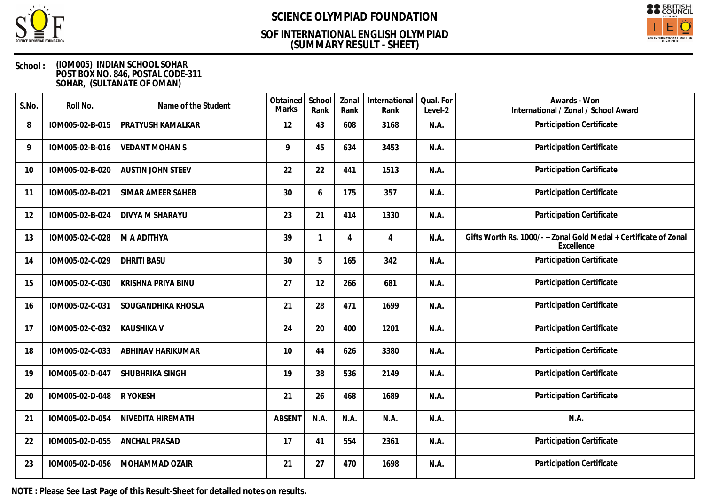

## **(SUMMARY RESULT - SHEET) SOF INTERNATIONAL ENGLISH OLYMPIAD**



### **School : (IOM005) INDIAN SCHOOL SOHAR POST BOX NO. 846, POSTAL CODE-311 SOHAR, (SULTANATE OF OMAN)**

| S.No. | Roll No.        | Name of the Student      | Obtained<br><b>Marks</b> | School<br>Rank | Zonal<br>Rank | International<br>Rank | Qual. For<br>Level-2 | Awards - Won<br>International / Zonal / School Award                         |
|-------|-----------------|--------------------------|--------------------------|----------------|---------------|-----------------------|----------------------|------------------------------------------------------------------------------|
| 8     | IOM005-02-B-015 | PRATYUSH KAMALKAR        | 12                       | 43             | 608           | 3168                  | N.A.                 | Participation Certificate                                                    |
| 9     | IOM005-02-B-016 | <b>VEDANT MOHANS</b>     | 9                        | 45             | 634           | 3453                  | N.A.                 | Participation Certificate                                                    |
| 10    | IOM005-02-B-020 | <b>AUSTIN JOHN STEEV</b> | 22                       | 22             | 441           | 1513                  | N.A.                 | Participation Certificate                                                    |
| 11    | IOM005-02-B-021 | <b>SIMAR AMEER SAHEB</b> | 30                       | 6              | 175           | 357                   | N.A.                 | Participation Certificate                                                    |
| 12    | IOM005-02-B-024 | DIVYA M SHARAYU          | 23                       | 21             | 414           | 1330                  | N.A.                 | Participation Certificate                                                    |
| 13    | IOM005-02-C-028 | M A ADITHYA              | 39                       | 1              | 4             | 4                     | N.A.                 | Gifts Worth Rs. 1000/-+Zonal Gold Medal + Certificate of Zonal<br>Excellence |
| 14    | IOM005-02-C-029 | <b>DHRITI BASU</b>       | 30                       | 5              | 165           | 342                   | N.A.                 | Participation Certificate                                                    |
| 15    | IOM005-02-C-030 | KRISHNA PRIYA BINU       | 27                       | 12             | 266           | 681                   | N.A.                 | Participation Certificate                                                    |
| 16    | IOM005-02-C-031 | SOUGANDHIKA KHOSLA       | 21                       | 28             | 471           | 1699                  | N.A.                 | Participation Certificate                                                    |
| 17    | IOM005-02-C-032 | <b>KAUSHIKA V</b>        | 24                       | 20             | 400           | 1201                  | N.A.                 | Participation Certificate                                                    |
| 18    | IOM005-02-C-033 | ABHINAV HARIKUMAR        | 10                       | 44             | 626           | 3380                  | N.A.                 | Participation Certificate                                                    |
| 19    | IOM005-02-D-047 | SHUBHRIKA SINGH          | 19                       | 38             | 536           | 2149                  | N.A.                 | Participation Certificate                                                    |
| 20    | IOM005-02-D-048 | R YOKESH                 | 21                       | 26             | 468           | 1689                  | N.A.                 | Participation Certificate                                                    |
| 21    | IOM005-02-D-054 | NIVEDITA HIREMATH        | <b>ABSENT</b>            | N.A.           | N.A.          | N.A.                  | N.A.                 | N.A.                                                                         |
| 22    | IOM005-02-D-055 | <b>ANCHAL PRASAD</b>     | 17                       | 41             | 554           | 2361                  | N.A.                 | Participation Certificate                                                    |
| 23    | IOM005-02-D-056 | MOHAMMAD OZAIR           | 21                       | 27             | 470           | 1698                  | N.A.                 | Participation Certificate                                                    |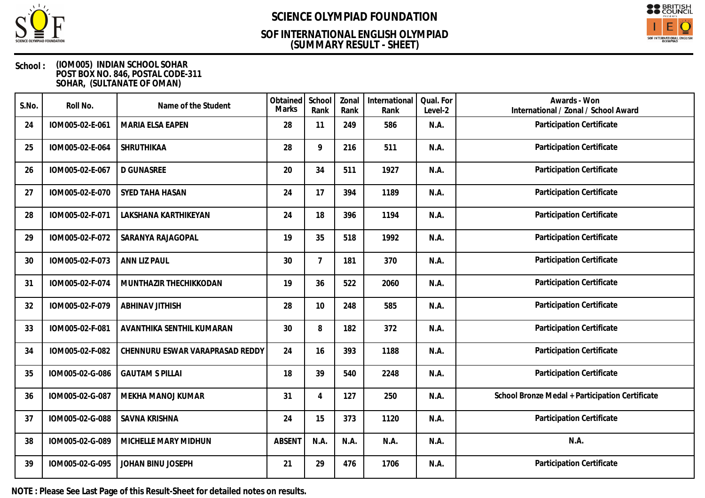

## **(SUMMARY RESULT - SHEET) SOF INTERNATIONAL ENGLISH OLYMPIAD**



### **School : (IOM005) INDIAN SCHOOL SOHAR POST BOX NO. 846, POSTAL CODE-311 SOHAR, (SULTANATE OF OMAN)**

| S.No. | Roll No.        | Name of the Student             | Obtained<br>Marks | School<br>Rank | Zonal<br>Rank | International<br>Rank | Qual. For<br>Level-2 | Awards - Won<br>International / Zonal / School Award |
|-------|-----------------|---------------------------------|-------------------|----------------|---------------|-----------------------|----------------------|------------------------------------------------------|
| 24    | IOM005-02-E-061 | MARIA ELSA EAPEN                | 28                | 11             | 249           | 586                   | N.A.                 | Participation Certificate                            |
| 25    | IOM005-02-E-064 | SHRUTHIKAA                      | 28                | 9              | 216           | 511                   | N.A.                 | Participation Certificate                            |
| 26    | IOM005-02-E-067 | <b>D GUNASREE</b>               | 20                | 34             | 511           | 1927                  | N.A.                 | Participation Certificate                            |
| 27    | IOM005-02-E-070 | SYED TAHA HASAN                 | 24                | 17             | 394           | 1189                  | N.A.                 | Participation Certificate                            |
| 28    | IOM005-02-F-071 | LAKSHANA KARTHIKEYAN            | 24                | 18             | 396           | 1194                  | N.A.                 | Participation Certificate                            |
| 29    | IOM005-02-F-072 | SARANYA RAJAGOPAL               | 19                | 35             | 518           | 1992                  | N.A.                 | Participation Certificate                            |
| 30    | IOM005-02-F-073 | ANN LIZ PAUL                    | 30                | $\overline{7}$ | 181           | 370                   | N.A.                 | Participation Certificate                            |
| 31    | IOM005-02-F-074 | MUNTHAZIR THECHIKKODAN          | 19                | 36             | 522           | 2060                  | N.A.                 | Participation Certificate                            |
| 32    | IOM005-02-F-079 | <b>ABHINAV JITHISH</b>          | 28                | 10             | 248           | 585                   | N.A.                 | Participation Certificate                            |
| 33    | IOM005-02-F-081 | AVANTHIKA SENTHIL KUMARAN       | 30                | 8              | 182           | 372                   | N.A.                 | Participation Certificate                            |
| 34    | IOM005-02-F-082 | CHENNURU ESWAR VARAPRASAD REDDY | 24                | 16             | 393           | 1188                  | N.A.                 | Participation Certificate                            |
| 35    | IOM005-02-G-086 | <b>GAUTAM S PILLAI</b>          | 18                | 39             | 540           | 2248                  | N.A.                 | Participation Certificate                            |
| 36    | IOM005-02-G-087 | MEKHA MANOJ KUMAR               | 31                | $\overline{4}$ | 127           | 250                   | N.A.                 | School Bronze Medal + Participation Certificate      |
| 37    | IOM005-02-G-088 | <b>SAVNA KRISHNA</b>            | 24                | 15             | 373           | 1120                  | N.A.                 | Participation Certificate                            |
| 38    | IOM005-02-G-089 | MICHELLE MARY MIDHUN            | <b>ABSENT</b>     | N.A.           | N.A.          | N.A.                  | N.A.                 | N.A.                                                 |
| 39    | IOM005-02-G-095 | JOHAN BINU JOSEPH               | 21                | 29             | 476           | 1706                  | N.A.                 | Participation Certificate                            |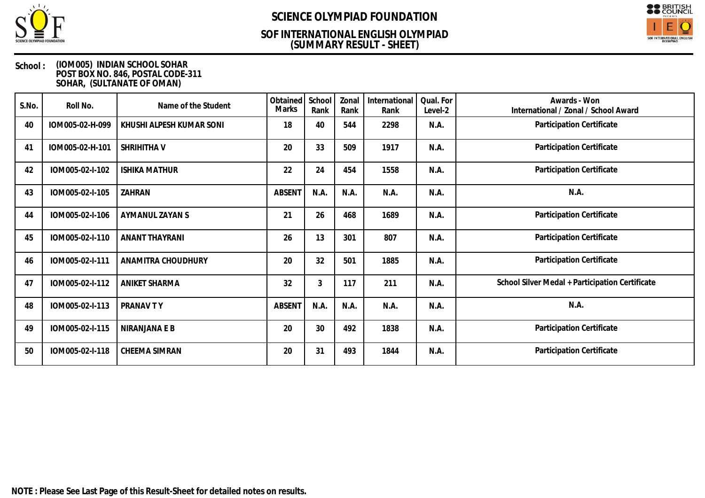

## **(SUMMARY RESULT - SHEET) SOF INTERNATIONAL ENGLISH OLYMPIAD**



### **School : (IOM005) INDIAN SCHOOL SOHAR POST BOX NO. 846, POSTAL CODE-311 SOHAR, (SULTANATE OF OMAN)**

| S.No. | Roll No.        | Name of the Student      | Obtained<br>Marks | School<br>Rank | Zonal<br>Rank | International<br>Rank | Qual. For<br>Level-2 | Awards - Won<br>International / Zonal / School Award |
|-------|-----------------|--------------------------|-------------------|----------------|---------------|-----------------------|----------------------|------------------------------------------------------|
| 40    | IOM005-02-H-099 | KHUSHI ALPESH KUMAR SONI | 18                | 40             | 544           | 2298                  | N.A.                 | Participation Certificate                            |
| 41    | IOM005-02-H-101 | SHRIHITHA V              | 20                | 33             | 509           | 1917                  | N.A.                 | Participation Certificate                            |
| 42    | IOM005-02-I-102 | <b>ISHIKA MATHUR</b>     | 22                | 24             | 454           | 1558                  | N.A.                 | Participation Certificate                            |
| 43    | IOM005-02-I-105 | ZAHRAN                   | ABSENT            | N.A.           | N.A.          | N.A.                  | N.A.                 | N.A.                                                 |
| 44    | IOM005-02-I-106 | AYMANUL ZAYAN S          | 21                | 26             | 468           | 1689                  | N.A.                 | Participation Certificate                            |
| 45    | IOM005-02-I-110 | <b>ANANT THAYRANI</b>    | 26                | 13             | 301           | 807                   | N.A.                 | Participation Certificate                            |
| 46    | IOM005-02-I-111 | ANAMITRA CHOUDHURY       | 20                | 32             | 501           | 1885                  | N.A.                 | Participation Certificate                            |
| 47    | IOM005-02-I-112 | ANIKET SHARMA            | 32                | 3              | 117           | 211                   | N.A.                 | School Silver Medal + Participation Certificate      |
| 48    | IOM005-02-I-113 | PRANAV TY                | ABSENT            | N.A.           | N.A.          | N.A.                  | N.A.                 | N.A.                                                 |
| 49    | IOM005-02-I-115 | NIRANJANA E B            | 20                | 30             | 492           | 1838                  | N.A.                 | Participation Certificate                            |
| 50    | IOM005-02-I-118 | CHEEMA SIMRAN            | 20                | 31             | 493           | 1844                  | N.A.                 | Participation Certificate                            |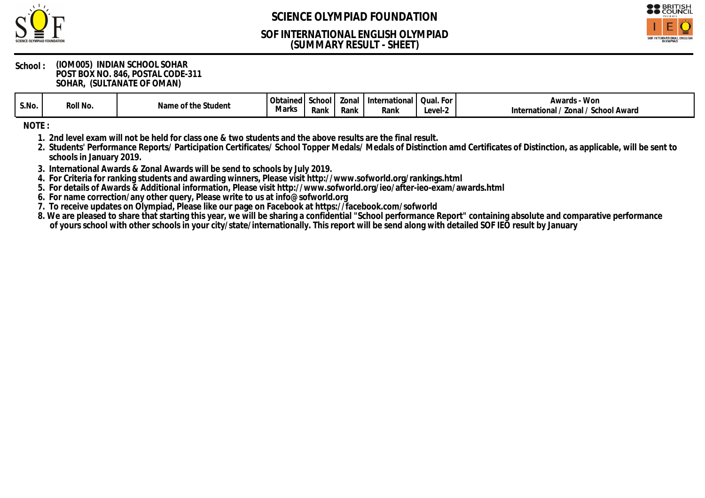

## **(SUMMARY RESULT - SHEET) SOF INTERNATIONAL ENGLISH OLYMPIAD**



#### **School : (IOM005) INDIAN SCHOOL SOHAR POST BOX NO. 846, POSTAL CODE-311 SOHAR, (SULTANATE OF OMAN)**

| S.No. | Roll No. | Student<br>$\sim$<br>n1<br>u | $\sim$<br>ined<br>. UUTG<br>Marks | chool<br>Rank | cona<br>Rank | Internationa<br>Rank | Qual<br>- 1<br>evel-: | ∽d⊂<br>$\triangle M/C$<br>∵vv∪i<br>ט צר<br>Zona<br>' Award<br>mational<br>school |
|-------|----------|------------------------------|-----------------------------------|---------------|--------------|----------------------|-----------------------|----------------------------------------------------------------------------------|
|-------|----------|------------------------------|-----------------------------------|---------------|--------------|----------------------|-----------------------|----------------------------------------------------------------------------------|

**NOTE :**

**1. 2nd level exam will not be held for class one & two students and the above results are the final result.**

**2. Students' Performance Reports/ Participation Certificates/ School Topper Medals/ Medals of Distinction amd Certificates of Distinction, as applicable, will be sent to schools in January 2019.**

**3. International Awards & Zonal Awards will be send to schools by July 2019.**

**4. For Criteria for ranking students and awarding winners, Please visit http://www.sofworld.org/rankings.html**

**5. For details of Awards & Additional information, Please visit http://www.sofworld.org/ieo/after-ieo-exam/awards.html**

**6. For name correction/any other query, Please write to us at info@sofworld.org**

**7. To receive updates on Olympiad, Please like our page on Facebook at https://facebook.com/sofworld**

**8. We are pleased to share that starting this year, we will be sharing a confidential "School performance Report" containing absolute and comparative performance of yours school with other schools in your city/state/internationally. This report will be send along with detailed SOF IEO result by January**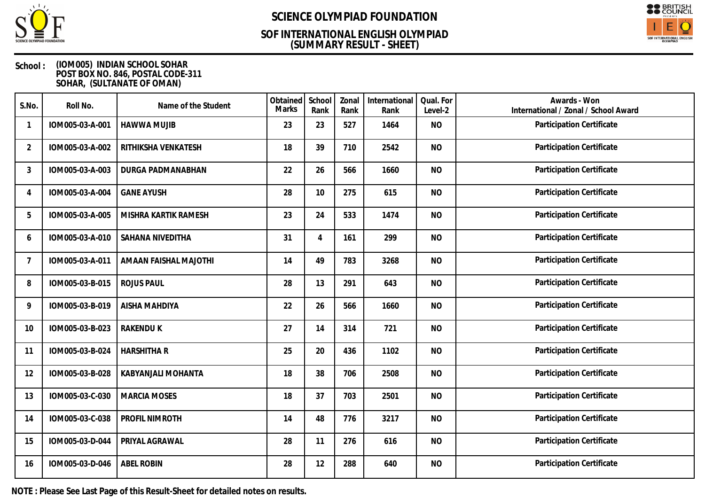

## **(SUMMARY RESULT - SHEET) SOF INTERNATIONAL ENGLISH OLYMPIAD**



### **School : (IOM005) INDIAN SCHOOL SOHAR POST BOX NO. 846, POSTAL CODE-311 SOHAR, (SULTANATE OF OMAN)**

| S.No.          | Roll No.        | Name of the Student   | Obtained<br><b>Marks</b> | School<br>Rank | Zonal<br>Rank | International<br>Rank | Qual. For<br>Level-2 | Awards - Won<br>International / Zonal / School Award |
|----------------|-----------------|-----------------------|--------------------------|----------------|---------------|-----------------------|----------------------|------------------------------------------------------|
| 1              | IOM005-03-A-001 | <b>HAWWA MUJIB</b>    | 23                       | 23             | 527           | 1464                  | <b>NO</b>            | Participation Certificate                            |
| $\overline{2}$ | IOM005-03-A-002 | RITHIKSHA VENKATESH   | 18                       | 39             | 710           | 2542                  | <b>NO</b>            | Participation Certificate                            |
| 3              | IOM005-03-A-003 | DURGA PADMANABHAN     | 22                       | 26             | 566           | 1660                  | <b>NO</b>            | Participation Certificate                            |
| 4              | IOM005-03-A-004 | <b>GANE AYUSH</b>     | 28                       | 10             | 275           | 615                   | <b>NO</b>            | Participation Certificate                            |
| 5              | IOM005-03-A-005 | MISHRA KARTIK RAMESH  | 23                       | 24             | 533           | 1474                  | <b>NO</b>            | Participation Certificate                            |
| 6              | IOM005-03-A-010 | SAHANA NIVEDITHA      | 31                       | $\overline{4}$ | 161           | 299                   | <b>NO</b>            | Participation Certificate                            |
|                | IOM005-03-A-011 | AMAAN FAISHAL MAJOTHI | 14                       | 49             | 783           | 3268                  | <b>NO</b>            | Participation Certificate                            |
| 8              | IOM005-03-B-015 | <b>ROJUS PAUL</b>     | 28                       | 13             | 291           | 643                   | <b>NO</b>            | Participation Certificate                            |
| 9              | IOM005-03-B-019 | AISHA MAHDIYA         | 22                       | 26             | 566           | 1660                  | <b>NO</b>            | Participation Certificate                            |
| 10             | IOM005-03-B-023 | <b>RAKENDU K</b>      | 27                       | 14             | 314           | 721                   | <b>NO</b>            | Participation Certificate                            |
| 11             | IOM005-03-B-024 | <b>HARSHITHA R</b>    | 25                       | 20             | 436           | 1102                  | <b>NO</b>            | Participation Certificate                            |
| 12             | IOM005-03-B-028 | KABYANJALI MOHANTA    | 18                       | 38             | 706           | 2508                  | <b>NO</b>            | Participation Certificate                            |
| 13             | IOM005-03-C-030 | <b>MARCIA MOSES</b>   | 18                       | 37             | 703           | 2501                  | <b>NO</b>            | Participation Certificate                            |
| 14             | IOM005-03-C-038 | PROFIL NIMROTH        | 14                       | 48             | 776           | 3217                  | <b>NO</b>            | Participation Certificate                            |
| 15             | IOM005-03-D-044 | PRIYAL AGRAWAL        | 28                       | 11             | 276           | 616                   | <b>NO</b>            | Participation Certificate                            |
| 16             | IOM005-03-D-046 | <b>ABEL ROBIN</b>     | 28                       | 12             | 288           | 640                   | <b>NO</b>            | Participation Certificate                            |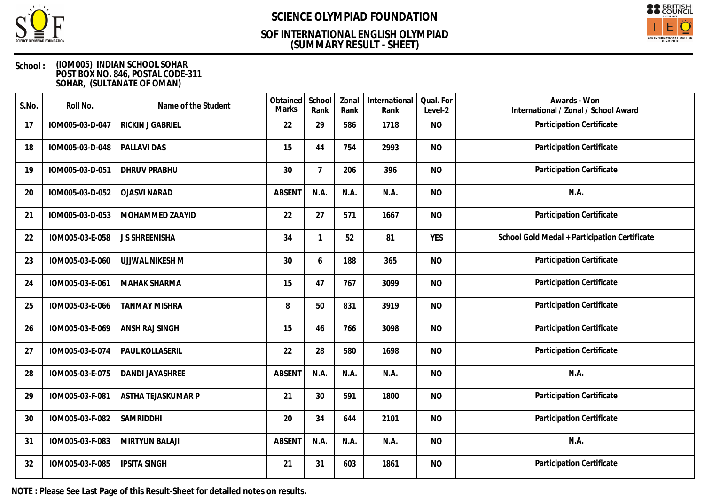

## **(SUMMARY RESULT - SHEET) SOF INTERNATIONAL ENGLISH OLYMPIAD**



### **School : (IOM005) INDIAN SCHOOL SOHAR POST BOX NO. 846, POSTAL CODE-311 SOHAR, (SULTANATE OF OMAN)**

| S.No. | Roll No.        | Name of the Student   | Obtained<br><b>Marks</b> | School<br>Rank | Zonal<br>Rank | International<br>Rank | Qual. For<br>Level-2 | Awards - Won<br>International / Zonal / School Award |
|-------|-----------------|-----------------------|--------------------------|----------------|---------------|-----------------------|----------------------|------------------------------------------------------|
| 17    | IOM005-03-D-047 | RICKIN J GABRIEL      | 22                       | 29             | 586           | 1718                  | <b>NO</b>            | Participation Certificate                            |
| 18    | IOM005-03-D-048 | PALLAVI DAS           | 15                       | 44             | 754           | 2993                  | <b>NO</b>            | <b>Participation Certificate</b>                     |
| 19    | IOM005-03-D-051 | <b>DHRUV PRABHU</b>   | 30                       | $\overline{7}$ | 206           | 396                   | <b>NO</b>            | Participation Certificate                            |
| 20    | IOM005-03-D-052 | <b>OJASVI NARAD</b>   | <b>ABSENT</b>            | N.A.           | N.A.          | N.A.                  | <b>NO</b>            | N.A.                                                 |
| 21    | IOM005-03-D-053 | MOHAMMED ZAAYID       | 22                       | 27             | 571           | 1667                  | <b>NO</b>            | Participation Certificate                            |
| 22    | IOM005-03-E-058 | J S SHREENISHA        | 34                       | 1              | 52            | 81                    | <b>YES</b>           | School Gold Medal + Participation Certificate        |
| 23    | IOM005-03-E-060 | UJJWAL NIKESH M       | 30                       | 6              | 188           | 365                   | <b>NO</b>            | Participation Certificate                            |
| 24    | IOM005-03-E-061 | <b>MAHAK SHARMA</b>   | 15                       | 47             | 767           | 3099                  | <b>NO</b>            | Participation Certificate                            |
| 25    | IOM005-03-E-066 | <b>TANMAY MISHRA</b>  | 8                        | 50             | 831           | 3919                  | <b>NO</b>            | Participation Certificate                            |
| 26    | IOM005-03-E-069 | ANSH RAJ SINGH        | 15                       | 46             | 766           | 3098                  | <b>NO</b>            | Participation Certificate                            |
| 27    | IOM005-03-E-074 | PAUL KOLLASERIL       | 22                       | 28             | 580           | 1698                  | <b>NO</b>            | Participation Certificate                            |
| 28    | IOM005-03-E-075 | DANDI JAYASHREE       | <b>ABSENT</b>            | N.A.           | N.A.          | N.A.                  | <b>NO</b>            | N.A.                                                 |
| 29    | IOM005-03-F-081 | ASTHA TEJASKUMAR P    | 21                       | 30             | 591           | 1800                  | <b>NO</b>            | Participation Certificate                            |
| 30    | IOM005-03-F-082 | SAMRIDDHI             | 20                       | 34             | 644           | 2101                  | <b>NO</b>            | Participation Certificate                            |
| 31    | IOM005-03-F-083 | <b>MIRTYUN BALAJI</b> | <b>ABSENT</b>            | N.A.           | N.A.          | N.A.                  | <b>NO</b>            | N.A.                                                 |
| 32    | IOM005-03-F-085 | <b>IPSITA SINGH</b>   | 21                       | 31             | 603           | 1861                  | <b>NO</b>            | Participation Certificate                            |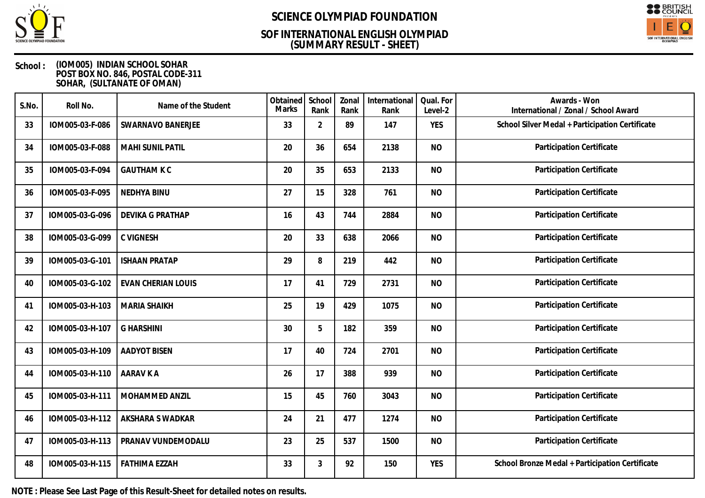

## **(SUMMARY RESULT - SHEET) SOF INTERNATIONAL ENGLISH OLYMPIAD**



### **School : (IOM005) INDIAN SCHOOL SOHAR POST BOX NO. 846, POSTAL CODE-311 SOHAR, (SULTANATE OF OMAN)**

| S.No. | Roll No.        | Name of the Student       | Obtained<br><b>Marks</b> | School<br>Rank | Zonal<br>Rank | International<br>Rank | Qual. For<br>Level-2 | Awards - Won<br>International / Zonal / School Award |
|-------|-----------------|---------------------------|--------------------------|----------------|---------------|-----------------------|----------------------|------------------------------------------------------|
| 33    | IOM005-03-F-086 | <b>SWARNAVO BANERJEE</b>  | 33                       | $\overline{2}$ | 89            | 147                   | <b>YES</b>           | School Silver Medal + Participation Certificate      |
| 34    | IOM005-03-F-088 | <b>MAHI SUNIL PATIL</b>   | 20                       | 36             | 654           | 2138                  | <b>NO</b>            | Participation Certificate                            |
| 35    | IOM005-03-F-094 | <b>GAUTHAM K C</b>        | 20                       | 35             | 653           | 2133                  | <b>NO</b>            | Participation Certificate                            |
| 36    | IOM005-03-F-095 | NEDHYA BINU               | 27                       | 15             | 328           | 761                   | <b>NO</b>            | Participation Certificate                            |
| 37    | IOM005-03-G-096 | <b>DEVIKA G PRATHAP</b>   | 16                       | 43             | 744           | 2884                  | <b>NO</b>            | Participation Certificate                            |
| 38    | IOM005-03-G-099 | <b>C VIGNESH</b>          | 20                       | 33             | 638           | 2066                  | <b>NO</b>            | Participation Certificate                            |
| 39    | IOM005-03-G-101 | <b>ISHAAN PRATAP</b>      | 29                       | 8              | 219           | 442                   | <b>NO</b>            | Participation Certificate                            |
| 40    | IOM005-03-G-102 | <b>EVAN CHERIAN LOUIS</b> | 17                       | 41             | 729           | 2731                  | <b>NO</b>            | Participation Certificate                            |
| 41    | IOM005-03-H-103 | <b>MARIA SHAIKH</b>       | 25                       | 19             | 429           | 1075                  | <b>NO</b>            | Participation Certificate                            |
| 42    | IOM005-03-H-107 | <b>G HARSHINI</b>         | 30                       | 5              | 182           | 359                   | <b>NO</b>            | Participation Certificate                            |
| 43    | IOM005-03-H-109 | <b>AADYOT BISEN</b>       | 17                       | 40             | 724           | 2701                  | <b>NO</b>            | Participation Certificate                            |
| 44    | IOM005-03-H-110 | <b>AARAV K A</b>          | 26                       | 17             | 388           | 939                   | <b>NO</b>            | Participation Certificate                            |
| 45    | IOM005-03-H-111 | MOHAMMED ANZIL            | 15                       | 45             | 760           | 3043                  | <b>NO</b>            | Participation Certificate                            |
| 46    | IOM005-03-H-112 | AKSHARA S WADKAR          | 24                       | 21             | 477           | 1274                  | <b>NO</b>            | Participation Certificate                            |
| 47    | IOM005-03-H-113 | PRANAV VUNDEMODALU        | 23                       | 25             | 537           | 1500                  | <b>NO</b>            | Participation Certificate                            |
| 48    | IOM005-03-H-115 | <b>FATHIMA EZZAH</b>      | 33                       | 3              | 92            | 150                   | <b>YES</b>           | School Bronze Medal + Participation Certificate      |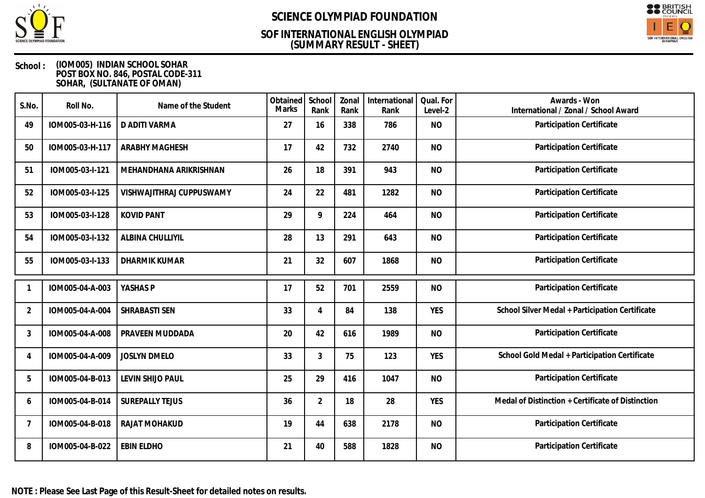

## **(SUMMARY RESULT - SHEET) SOF INTERNATIONAL ENGLISH OLYMPIAD**



### **School : (IOM005) INDIAN SCHOOL SOHAR POST BOX NO. 846, POSTAL CODE-311 SOHAR, (SULTANATE OF OMAN)**

| S.No.          | Roll No.        | Name of the Student      | Obtained<br><b>Marks</b> | School<br>Rank | Zonal<br>Rank | International<br>Rank | Qual. For<br>Level-2 | Awards - Won<br>International / Zonal / School Award |
|----------------|-----------------|--------------------------|--------------------------|----------------|---------------|-----------------------|----------------------|------------------------------------------------------|
| 49             | IOM005-03-H-116 | D ADITI VARMA            | 27                       | 16             | 338           | 786                   | <b>NO</b>            | Participation Certificate                            |
| 50             | IOM005-03-H-117 | <b>ARABHY MAGHESH</b>    | 17                       | 42             | 732           | 2740                  | <b>NO</b>            | Participation Certificate                            |
| 51             | IOM005-03-I-121 | MEHANDHANA ARIKRISHNAN   | 26                       | 18             | 391           | 943                   | <b>NO</b>            | Participation Certificate                            |
| 52             | IOM005-03-I-125 | VISHWAJITHRAJ CUPPUSWAMY | 24                       | 22             | 481           | 1282                  | <b>NO</b>            | Participation Certificate                            |
| 53             | IOM005-03-I-128 | <b>KOVID PANT</b>        | 29                       | 9              | 224           | 464                   | <b>NO</b>            | Participation Certificate                            |
| 54             | IOM005-03-I-132 | ALBINA CHULLIYIL         | 28                       | 13             | 291           | 643                   | <b>NO</b>            | Participation Certificate                            |
| 55             | IOM005-03-I-133 | <b>DHARMIK KUMAR</b>     | 21                       | 32             | 607           | 1868                  | <b>NO</b>            | Participation Certificate                            |
|                | IOM005-04-A-003 | YASHAS P                 | 17                       | 52             | 701           | 2559                  | <b>NO</b>            | Participation Certificate                            |
| $\overline{2}$ | IOM005-04-A-004 | SHRABASTI SEN            | 33                       | 4              | 84            | 138                   | <b>YES</b>           | School Silver Medal + Participation Certificate      |
| 3              | IOM005-04-A-008 | PRAVEEN MUDDADA          | 20                       | 42             | 616           | 1989                  | <b>NO</b>            | Participation Certificate                            |
| 4              | IOM005-04-A-009 | <b>JOSLYN DMELO</b>      | 33                       | 3              | 75            | 123                   | <b>YES</b>           | School Gold Medal + Participation Certificate        |
| 5              | IOM005-04-B-013 | LEVIN SHIJO PAUL         | 25                       | 29             | 416           | 1047                  | <b>NO</b>            | Participation Certificate                            |
| 6              | IOM005-04-B-014 | <b>SUREPALLY TEJUS</b>   | 36                       | $\overline{2}$ | 18            | 28                    | <b>YES</b>           | Medal of Distinction + Certificate of Distinction    |
| $\overline{7}$ | IOM005-04-B-018 | RAJAT MOHAKUD            | 19                       | 44             | 638           | 2178                  | <b>NO</b>            | Participation Certificate                            |
| 8              | IOM005-04-B-022 | <b>EBIN ELDHO</b>        | 21                       | 40             | 588           | 1828                  | <b>NO</b>            | Participation Certificate                            |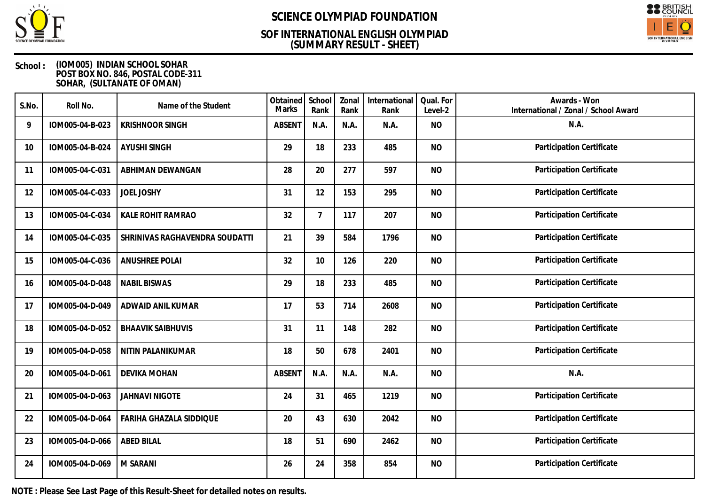

## **(SUMMARY RESULT - SHEET) SOF INTERNATIONAL ENGLISH OLYMPIAD**



### **School : (IOM005) INDIAN SCHOOL SOHAR POST BOX NO. 846, POSTAL CODE-311 SOHAR, (SULTANATE OF OMAN)**

| S.No. | Roll No.        | Name of the Student            | Obtained<br>Marks | School<br>Rank | Zonal<br>Rank | International<br>Rank | Qual. For<br>Level-2 | Awards - Won<br>International / Zonal / School Award |
|-------|-----------------|--------------------------------|-------------------|----------------|---------------|-----------------------|----------------------|------------------------------------------------------|
| 9     | IOM005-04-B-023 | <b>KRISHNOOR SINGH</b>         | <b>ABSENT</b>     | N.A.           | N.A.          | N.A.                  | <b>NO</b>            | N.A.                                                 |
| 10    | IOM005-04-B-024 | <b>AYUSHI SINGH</b>            | 29                | 18             | 233           | 485                   | <b>NO</b>            | Participation Certificate                            |
| 11    | IOM005-04-C-031 | ABHIMAN DEWANGAN               | 28                | 20             | 277           | 597                   | <b>NO</b>            | Participation Certificate                            |
| 12    | IOM005-04-C-033 | <b>JOEL JOSHY</b>              | 31                | 12             | 153           | 295                   | <b>NO</b>            | Participation Certificate                            |
| 13    | IOM005-04-C-034 | KALE ROHIT RAMRAO              | 32                | $\overline{7}$ | 117           | 207                   | <b>NO</b>            | <b>Participation Certificate</b>                     |
| 14    | IOM005-04-C-035 | SHRINIVAS RAGHAVENDRA SOUDATTI | 21                | 39             | 584           | 1796                  | <b>NO</b>            | Participation Certificate                            |
| 15    | IOM005-04-C-036 | <b>ANUSHREE POLAI</b>          | 32                | 10             | 126           | 220                   | <b>NO</b>            | Participation Certificate                            |
| 16    | IOM005-04-D-048 | <b>NABIL BISWAS</b>            | 29                | 18             | 233           | 485                   | <b>NO</b>            | Participation Certificate                            |
| 17    | IOM005-04-D-049 | ADWAID ANIL KUMAR              | 17                | 53             | 714           | 2608                  | <b>NO</b>            | Participation Certificate                            |
| 18    | IOM005-04-D-052 | <b>BHAAVIK SAIBHUVIS</b>       | 31                | 11             | 148           | 282                   | <b>NO</b>            | Participation Certificate                            |
| 19    | IOM005-04-D-058 | NITIN PALANIKUMAR              | 18                | 50             | 678           | 2401                  | <b>NO</b>            | Participation Certificate                            |
| 20    | IOM005-04-D-061 | <b>DEVIKA MOHAN</b>            | <b>ABSENT</b>     | N.A.           | N.A.          | N.A.                  | <b>NO</b>            | N.A.                                                 |
| 21    | IOM005-04-D-063 | <b>JAHNAVI NIGOTE</b>          | 24                | 31             | 465           | 1219                  | <b>NO</b>            | Participation Certificate                            |
| 22    | IOM005-04-D-064 | FARIHA GHAZALA SIDDIQUE        | 20                | 43             | 630           | 2042                  | <b>NO</b>            | Participation Certificate                            |
| 23    | IOM005-04-D-066 | <b>ABED BILAL</b>              | 18                | 51             | 690           | 2462                  | <b>NO</b>            | Participation Certificate                            |
| 24    | IOM005-04-D-069 | M SARANI                       | 26                | 24             | 358           | 854                   | <b>NO</b>            | Participation Certificate                            |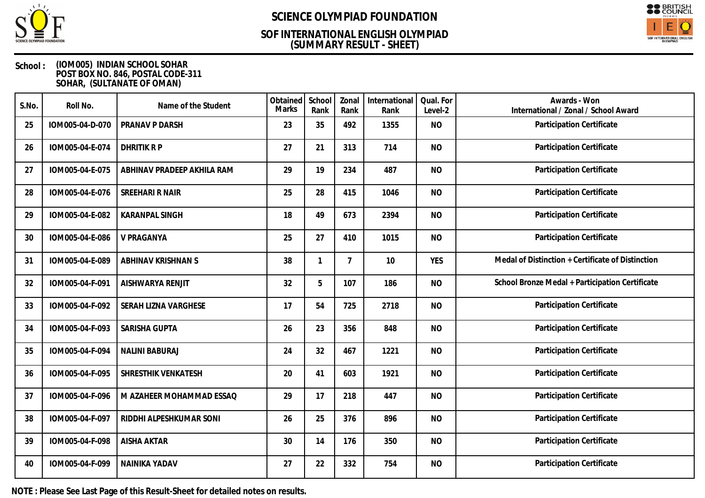

## **(SUMMARY RESULT - SHEET) SOF INTERNATIONAL ENGLISH OLYMPIAD**



### **School : (IOM005) INDIAN SCHOOL SOHAR POST BOX NO. 846, POSTAL CODE-311 SOHAR, (SULTANATE OF OMAN)**

| S.No. | Roll No.        | Name of the Student        | Obtained<br><b>Marks</b> | School<br>Rank | Zonal<br>Rank  | International<br>Rank | Qual. For<br>Level-2 | Awards - Won<br>International / Zonal / School Award |
|-------|-----------------|----------------------------|--------------------------|----------------|----------------|-----------------------|----------------------|------------------------------------------------------|
| 25    | IOM005-04-D-070 | PRANAV P DARSH             | 23                       | 35             | 492            | 1355                  | <b>NO</b>            | Participation Certificate                            |
| 26    | IOM005-04-E-074 | <b>DHRITIK RP</b>          | 27                       | 21             | 313            | 714                   | <b>NO</b>            | Participation Certificate                            |
| 27    | IOM005-04-E-075 | ABHINAV PRADEEP AKHILA RAM | 29                       | 19             | 234            | 487                   | <b>NO</b>            | Participation Certificate                            |
| 28    | IOM005-04-E-076 | SREEHARI R NAIR            | 25                       | 28             | 415            | 1046                  | <b>NO</b>            | Participation Certificate                            |
| 29    | IOM005-04-E-082 | <b>KARANPAL SINGH</b>      | 18                       | 49             | 673            | 2394                  | <b>NO</b>            | Participation Certificate                            |
| 30    | IOM005-04-E-086 | V PRAGANYA                 | 25                       | 27             | 410            | 1015                  | <b>NO</b>            | Participation Certificate                            |
| 31    | IOM005-04-E-089 | ABHINAV KRISHNAN S         | 38                       |                | $\overline{7}$ | 10                    | <b>YES</b>           | Medal of Distinction + Certificate of Distinction    |
| 32    | IOM005-04-F-091 | AISHWARYA RENJIT           | 32                       | 5              | 107            | 186                   | <b>NO</b>            | School Bronze Medal + Participation Certificate      |
| 33    | IOM005-04-F-092 | SERAH LIZNA VARGHESE       | 17                       | 54             | 725            | 2718                  | <b>NO</b>            | Participation Certificate                            |
| 34    | IOM005-04-F-093 | SARISHA GUPTA              | 26                       | 23             | 356            | 848                   | <b>NO</b>            | Participation Certificate                            |
| 35    | IOM005-04-F-094 | NALINI BABURAJ             | 24                       | 32             | 467            | 1221                  | <b>NO</b>            | Participation Certificate                            |
| 36    | IOM005-04-F-095 | SHRESTHIK VENKATESH        | 20                       | 41             | 603            | 1921                  | <b>NO</b>            | Participation Certificate                            |
| 37    | IOM005-04-F-096 | M AZAHEER MOHAMMAD ESSAQ   | 29                       | 17             | 218            | 447                   | <b>NO</b>            | Participation Certificate                            |
| 38    | IOM005-04-F-097 | RIDDHI ALPESHKUMAR SONI    | 26                       | 25             | 376            | 896                   | <b>NO</b>            | Participation Certificate                            |
| 39    | IOM005-04-F-098 | <b>AISHA AKTAR</b>         | 30                       | 14             | 176            | 350                   | <b>NO</b>            | Participation Certificate                            |
| 40    | IOM005-04-F-099 | NAINIKA YADAV              | 27                       | 22             | 332            | 754                   | <b>NO</b>            | Participation Certificate                            |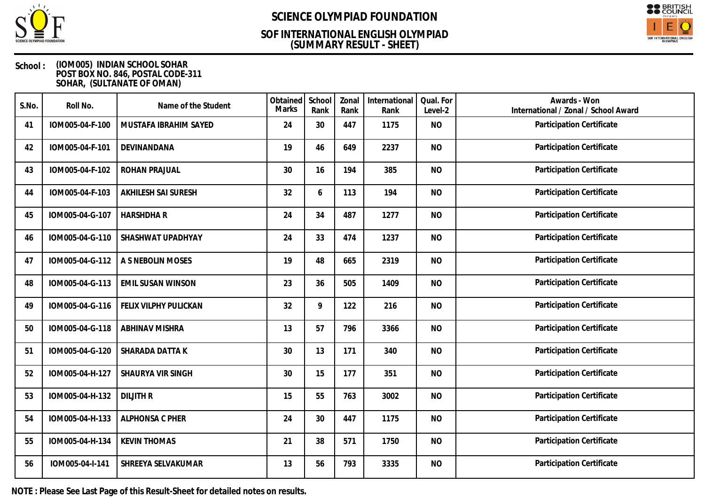

## **(SUMMARY RESULT - SHEET) SOF INTERNATIONAL ENGLISH OLYMPIAD**



### **School : (IOM005) INDIAN SCHOOL SOHAR POST BOX NO. 846, POSTAL CODE-311 SOHAR, (SULTANATE OF OMAN)**

| S.No. | Roll No.        | Name of the Student      | Obtained<br><b>Marks</b> | School<br>Rank | Zonal<br>Rank | International<br>Rank | Qual. For<br>Level-2 | Awards - Won<br>International / Zonal / School Award |
|-------|-----------------|--------------------------|--------------------------|----------------|---------------|-----------------------|----------------------|------------------------------------------------------|
| 41    | IOM005-04-F-100 | MUSTAFA IBRAHIM SAYED    | 24                       | 30             | 447           | 1175                  | <b>NO</b>            | Participation Certificate                            |
| 42    | IOM005-04-F-101 | DEVINANDANA              | 19                       | 46             | 649           | 2237                  | <b>NO</b>            | Participation Certificate                            |
| 43    | IOM005-04-F-102 | ROHAN PRAJUAL            | 30                       | 16             | 194           | 385                   | <b>NO</b>            | Participation Certificate                            |
| 44    | IOM005-04-F-103 | AKHILESH SAI SURESH      | 32                       | 6              | 113           | 194                   | <b>NO</b>            | Participation Certificate                            |
| 45    | IOM005-04-G-107 | <b>HARSHDHAR</b>         | 24                       | 34             | 487           | 1277                  | <b>NO</b>            | Participation Certificate                            |
| 46    | IOM005-04-G-110 | SHASHWAT UPADHYAY        | 24                       | 33             | 474           | 1237                  | <b>NO</b>            | Participation Certificate                            |
| 47    | IOM005-04-G-112 | A S NEBOLIN MOSES        | 19                       | 48             | 665           | 2319                  | <b>NO</b>            | Participation Certificate                            |
| 48    | IOM005-04-G-113 | <b>EMIL SUSAN WINSON</b> | 23                       | 36             | 505           | 1409                  | <b>NO</b>            | Participation Certificate                            |
| 49    | IOM005-04-G-116 | FELIX VILPHY PULICKAN    | 32                       | 9              | 122           | 216                   | <b>NO</b>            | Participation Certificate                            |
| 50    | IOM005-04-G-118 | <b>ABHINAV MISHRA</b>    | 13                       | 57             | 796           | 3366                  | <b>NO</b>            | Participation Certificate                            |
| 51    | IOM005-04-G-120 | SHARADA DATTA K          | 30                       | 13             | 171           | 340                   | <b>NO</b>            | Participation Certificate                            |
| 52    | IOM005-04-H-127 | SHAURYA VIR SINGH        | 30                       | 15             | 177           | 351                   | <b>NO</b>            | Participation Certificate                            |
| 53    | IOM005-04-H-132 | <b>DILJITH R</b>         | 15                       | 55             | 763           | 3002                  | <b>NO</b>            | Participation Certificate                            |
| 54    | IOM005-04-H-133 | ALPHONSA C PHER          | 24                       | 30             | 447           | 1175                  | <b>NO</b>            | Participation Certificate                            |
| 55    | IOM005-04-H-134 | <b>KEVIN THOMAS</b>      | 21                       | 38             | 571           | 1750                  | <b>NO</b>            | Participation Certificate                            |
| 56    | IOM005-04-I-141 | SHREEYA SELVAKUMAR       | 13                       | 56             | 793           | 3335                  | <b>NO</b>            | Participation Certificate                            |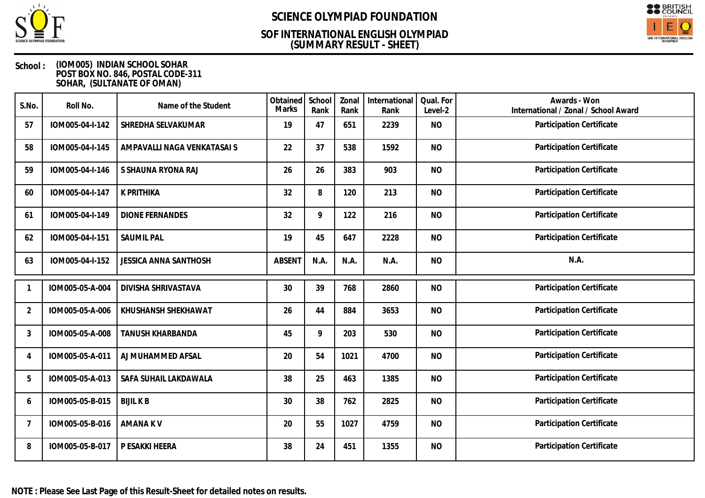

## **(SUMMARY RESULT - SHEET) SOF INTERNATIONAL ENGLISH OLYMPIAD**



### **School : (IOM005) INDIAN SCHOOL SOHAR POST BOX NO. 846, POSTAL CODE-311 SOHAR, (SULTANATE OF OMAN)**

| S.No.          | Roll No.        | Name of the Student          | Obtained<br>Marks | School<br>Rank | Zonal<br>Rank | International<br>Rank | Qual. For<br>Level-2 | Awards - Won<br>International / Zonal / School Award |
|----------------|-----------------|------------------------------|-------------------|----------------|---------------|-----------------------|----------------------|------------------------------------------------------|
| 57             | IOM005-04-I-142 | SHREDHA SELVAKUMAR           | 19                | 47             | 651           | 2239                  | <b>NO</b>            | Participation Certificate                            |
| 58             | IOM005-04-I-145 | AMPAVALLI NAGA VENKATASAI S  | 22                | 37             | 538           | 1592                  | <b>NO</b>            | Participation Certificate                            |
| 59             | IOM005-04-I-146 | S SHAUNA RYONA RAJ           | 26                | 26             | 383           | 903                   | <b>NO</b>            | Participation Certificate                            |
| 60             | IOM005-04-I-147 | K PRITHIKA                   | 32                | 8              | 120           | 213                   | <b>NO</b>            | Participation Certificate                            |
| 61             | IOM005-04-I-149 | <b>DIONE FERNANDES</b>       | 32                | 9              | 122           | 216                   | <b>NO</b>            | Participation Certificate                            |
| 62             | IOM005-04-I-151 | <b>SAUMIL PAL</b>            | 19                | 45             | 647           | 2228                  | <b>NO</b>            | Participation Certificate                            |
| 63             | IOM005-04-I-152 | <b>JESSICA ANNA SANTHOSH</b> | <b>ABSENT</b>     | N.A.           | N.A.          | N.A.                  | <b>NO</b>            | N.A.                                                 |
| 1              | IOM005-05-A-004 | <b>DIVISHA SHRIVASTAVA</b>   | 30                | 39             | 768           | 2860                  | <b>NO</b>            | Participation Certificate                            |
| 2              | IOM005-05-A-006 | KHUSHANSH SHEKHAWAT          | 26                | 44             | 884           | 3653                  | <b>NO</b>            | Participation Certificate                            |
| 3              | IOM005-05-A-008 | <b>TANUSH KHARBANDA</b>      | 45                | 9              | 203           | 530                   | <b>NO</b>            | Participation Certificate                            |
| 4              | IOM005-05-A-011 | AJ MUHAMMED AFSAL            | 20                | 54             | 1021          | 4700                  | <b>NO</b>            | Participation Certificate                            |
| 5              | IOM005-05-A-013 | SAFA SUHAIL LAKDAWALA        | 38                | 25             | 463           | 1385                  | <b>NO</b>            | Participation Certificate                            |
| 6              | IOM005-05-B-015 | <b>BIJIL K B</b>             | 30                | 38             | 762           | 2825                  | <b>NO</b>            | Participation Certificate                            |
| $\overline{7}$ | IOM005-05-B-016 | <b>AMANAKV</b>               | 20                | 55             | 1027          | 4759                  | <b>NO</b>            | <b>Participation Certificate</b>                     |
| 8              | IOM005-05-B-017 | P ESAKKI HEERA               | 38                | 24             | 451           | 1355                  | <b>NO</b>            | Participation Certificate                            |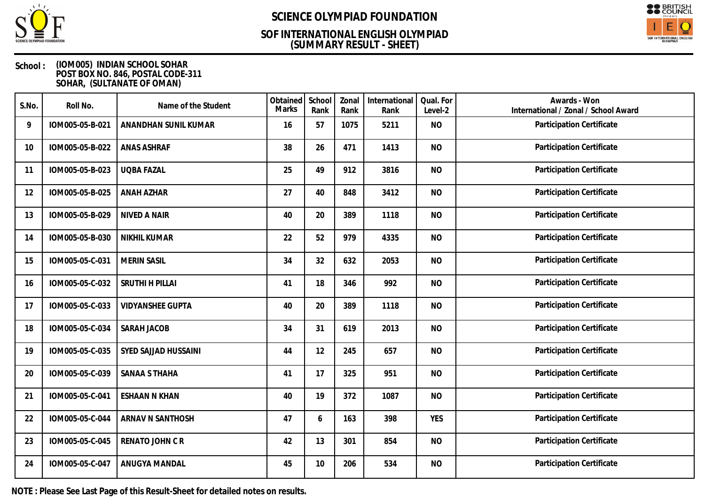

## **(SUMMARY RESULT - SHEET) SOF INTERNATIONAL ENGLISH OLYMPIAD**



### **School : (IOM005) INDIAN SCHOOL SOHAR POST BOX NO. 846, POSTAL CODE-311 SOHAR, (SULTANATE OF OMAN)**

| S.No. | Roll No.        | Name of the Student     | Obtained<br><b>Marks</b> | School<br>Rank | Zonal<br>Rank | International<br>Rank | Qual. For<br>Level-2 | Awards - Won<br>International / Zonal / School Award |
|-------|-----------------|-------------------------|--------------------------|----------------|---------------|-----------------------|----------------------|------------------------------------------------------|
| 9     | IOM005-05-B-021 | ANANDHAN SUNIL KUMAR    | 16                       | 57             | 1075          | 5211                  | <b>NO</b>            | Participation Certificate                            |
| 10    | IOM005-05-B-022 | <b>ANAS ASHRAF</b>      | 38                       | 26             | 471           | 1413                  | <b>NO</b>            | Participation Certificate                            |
| 11    | IOM005-05-B-023 | <b>UQBA FAZAL</b>       | 25                       | 49             | 912           | 3816                  | <b>NO</b>            | Participation Certificate                            |
| 12    | IOM005-05-B-025 | ANAH AZHAR              | 27                       | 40             | 848           | 3412                  | <b>NO</b>            | Participation Certificate                            |
| 13    | IOM005-05-B-029 | <b>NIVED A NAIR</b>     | 40                       | 20             | 389           | 1118                  | <b>NO</b>            | Participation Certificate                            |
| 14    | IOM005-05-B-030 | <b>NIKHIL KUMAR</b>     | 22                       | 52             | 979           | 4335                  | <b>NO</b>            | Participation Certificate                            |
| 15    | IOM005-05-C-031 | <b>MERIN SASIL</b>      | 34                       | 32             | 632           | 2053                  | <b>NO</b>            | Participation Certificate                            |
| 16    | IOM005-05-C-032 | SRUTHI H PILLAI         | 41                       | 18             | 346           | 992                   | <b>NO</b>            | Participation Certificate                            |
| 17    | IOM005-05-C-033 | <b>VIDYANSHEE GUPTA</b> | 40                       | 20             | 389           | 1118                  | <b>NO</b>            | Participation Certificate                            |
| 18    | IOM005-05-C-034 | SARAH JACOB             | 34                       | 31             | 619           | 2013                  | <b>NO</b>            | Participation Certificate                            |
| 19    | IOM005-05-C-035 | SYED SAJJAD HUSSAINI    | 44                       | 12             | 245           | 657                   | <b>NO</b>            | Participation Certificate                            |
| 20    | IOM005-05-C-039 | <b>SANAA S THAHA</b>    | 41                       | 17             | 325           | 951                   | <b>NO</b>            | Participation Certificate                            |
| 21    | IOM005-05-C-041 | <b>ESHAAN N KHAN</b>    | 40                       | 19             | 372           | 1087                  | <b>NO</b>            | Participation Certificate                            |
| 22    | IOM005-05-C-044 | ARNAV N SANTHOSH        | 47                       | 6              | 163           | 398                   | <b>YES</b>           | Participation Certificate                            |
| 23    | IOM005-05-C-045 | RENATO JOHN C R         | 42                       | 13             | 301           | 854                   | <b>NO</b>            | Participation Certificate                            |
| 24    | IOM005-05-C-047 | ANUGYA MANDAL           | 45                       | 10             | 206           | 534                   | <b>NO</b>            | Participation Certificate                            |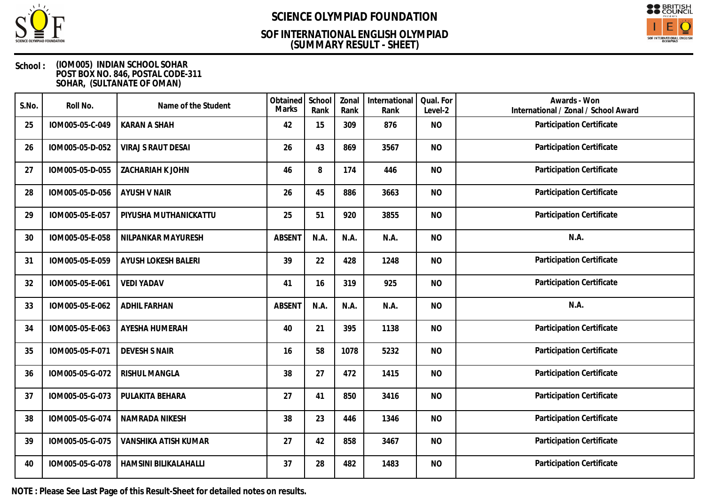

## **(SUMMARY RESULT - SHEET) SOF INTERNATIONAL ENGLISH OLYMPIAD**



### **School : (IOM005) INDIAN SCHOOL SOHAR POST BOX NO. 846, POSTAL CODE-311 SOHAR, (SULTANATE OF OMAN)**

| S.No. | Roll No.        | Name of the Student       | Obtained<br>Marks | School<br>Rank | Zonal<br>Rank | International<br>Rank | Qual. For<br>Level-2 | Awards - Won<br>International / Zonal / School Award |
|-------|-----------------|---------------------------|-------------------|----------------|---------------|-----------------------|----------------------|------------------------------------------------------|
| 25    | IOM005-05-C-049 | <b>KARAN A SHAH</b>       | 42                | 15             | 309           | 876                   | <b>NO</b>            | Participation Certificate                            |
| 26    | IOM005-05-D-052 | <b>VIRAJ S RAUT DESAI</b> | 26                | 43             | 869           | 3567                  | <b>NO</b>            | Participation Certificate                            |
| 27    | IOM005-05-D-055 | ZACHARIAH K JOHN          | 46                | 8              | 174           | 446                   | <b>NO</b>            | Participation Certificate                            |
| 28    | IOM005-05-D-056 | <b>AYUSH V NAIR</b>       | 26                | 45             | 886           | 3663                  | <b>NO</b>            | Participation Certificate                            |
| 29    | IOM005-05-E-057 | PIYUSHA MUTHANICKATTU     | 25                | 51             | 920           | 3855                  | <b>NO</b>            | Participation Certificate                            |
| 30    | IOM005-05-E-058 | NILPANKAR MAYURESH        | <b>ABSENT</b>     | N.A.           | N.A.          | N.A.                  | <b>NO</b>            | N.A.                                                 |
| 31    | IOM005-05-E-059 | AYUSH LOKESH BALERI       | 39                | 22             | 428           | 1248                  | <b>NO</b>            | Participation Certificate                            |
| 32    | IOM005-05-E-061 | <b>VEDI YADAV</b>         | 41                | 16             | 319           | 925                   | <b>NO</b>            | Participation Certificate                            |
| 33    | IOM005-05-E-062 | <b>ADHIL FARHAN</b>       | <b>ABSENT</b>     | N.A.           | N.A.          | N.A.                  | <b>NO</b>            | N.A.                                                 |
| 34    | IOM005-05-E-063 | AYESHA HUMERAH            | 40                | 21             | 395           | 1138                  | <b>NO</b>            | Participation Certificate                            |
| 35    | IOM005-05-F-071 | <b>DEVESH S NAIR</b>      | 16                | 58             | 1078          | 5232                  | <b>NO</b>            | Participation Certificate                            |
| 36    | IOM005-05-G-072 | RISHUL MANGLA             | 38                | 27             | 472           | 1415                  | <b>NO</b>            | Participation Certificate                            |
| 37    | IOM005-05-G-073 | PULAKITA BEHARA           | 27                | 41             | 850           | 3416                  | <b>NO</b>            | Participation Certificate                            |
| 38    | IOM005-05-G-074 | NAMRADA NIKESH            | 38                | 23             | 446           | 1346                  | <b>NO</b>            | Participation Certificate                            |
| 39    | IOM005-05-G-075 | VANSHIKA ATISH KUMAR      | 27                | 42             | 858           | 3467                  | <b>NO</b>            | Participation Certificate                            |
| 40    | IOM005-05-G-078 | HAMSINI BILIKALAHALLI     | 37                | 28             | 482           | 1483                  | <b>NO</b>            | Participation Certificate                            |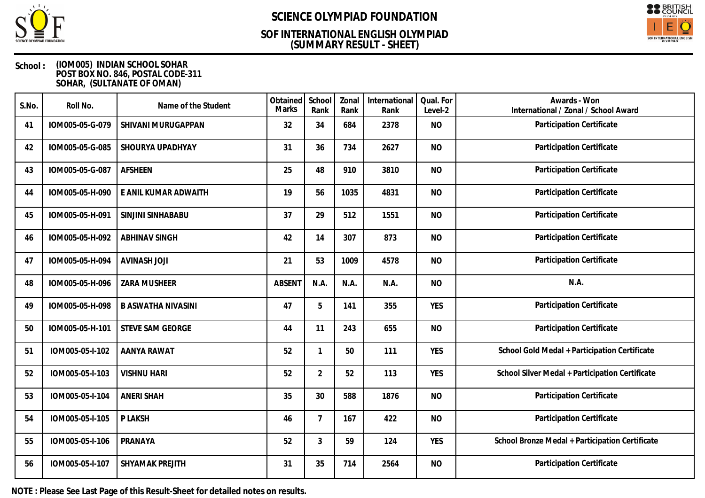

## **(SUMMARY RESULT - SHEET) SOF INTERNATIONAL ENGLISH OLYMPIAD**



### **School : (IOM005) INDIAN SCHOOL SOHAR POST BOX NO. 846, POSTAL CODE-311 SOHAR, (SULTANATE OF OMAN)**

| S.No. | Roll No.        | Name of the Student       | Obtained<br>Marks | School<br>Rank | Zonal<br>Rank | International<br>Rank | Qual. For<br>Level-2 | Awards - Won<br>International / Zonal / School Award |
|-------|-----------------|---------------------------|-------------------|----------------|---------------|-----------------------|----------------------|------------------------------------------------------|
| 41    | IOM005-05-G-079 | SHIVANI MURUGAPPAN        | 32                | 34             | 684           | 2378                  | <b>NO</b>            | Participation Certificate                            |
| 42    | IOM005-05-G-085 | SHOURYA UPADHYAY          | 31                | 36             | 734           | 2627                  | <b>NO</b>            | <b>Participation Certificate</b>                     |
| 43    | IOM005-05-G-087 | <b>AFSHEEN</b>            | 25                | 48             | 910           | 3810                  | <b>NO</b>            | Participation Certificate                            |
| 44    | IOM005-05-H-090 | E ANIL KUMAR ADWAITH      | 19                | 56             | 1035          | 4831                  | <b>NO</b>            | Participation Certificate                            |
| 45    | IOM005-05-H-091 | SINJINI SINHABABU         | 37                | 29             | 512           | 1551                  | <b>NO</b>            | Participation Certificate                            |
| 46    | IOM005-05-H-092 | <b>ABHINAV SINGH</b>      | 42                | 14             | 307           | 873                   | <b>NO</b>            | Participation Certificate                            |
| 47    | IOM005-05-H-094 | <b>AVINASH JOJI</b>       | 21                | 53             | 1009          | 4578                  | <b>NO</b>            | Participation Certificate                            |
| 48    | IOM005-05-H-096 | ZARA MUSHEER              | <b>ABSENT</b>     | N.A.           | N.A.          | N.A.                  | <b>NO</b>            | N.A.                                                 |
| 49    | IOM005-05-H-098 | <b>B ASWATHA NIVASINI</b> | 47                | 5              | 141           | 355                   | <b>YES</b>           | Participation Certificate                            |
| 50    | IOM005-05-H-101 | <b>STEVE SAM GEORGE</b>   | 44                | 11             | 243           | 655                   | <b>NO</b>            | Participation Certificate                            |
| 51    | IOM005-05-I-102 | <b>AANYA RAWAT</b>        | 52                | 1              | 50            | 111                   | <b>YES</b>           | School Gold Medal + Participation Certificate        |
| 52    | IOM005-05-I-103 | <b>VISHNU HARI</b>        | 52                | $\overline{2}$ | 52            | 113                   | <b>YES</b>           | School Silver Medal + Participation Certificate      |
| 53    | IOM005-05-I-104 | <b>ANERI SHAH</b>         | 35                | 30             | 588           | 1876                  | <b>NO</b>            | Participation Certificate                            |
| 54    | IOM005-05-I-105 | P LAKSH                   | 46                | $\overline{7}$ | 167           | 422                   | <b>NO</b>            | Participation Certificate                            |
| 55    | IOM005-05-I-106 | PRANAYA                   | 52                | 3              | 59            | 124                   | <b>YES</b>           | School Bronze Medal + Participation Certificate      |
| 56    | IOM005-05-I-107 | SHYAMAK PREJITH           | 31                | 35             | 714           | 2564                  | <b>NO</b>            | Participation Certificate                            |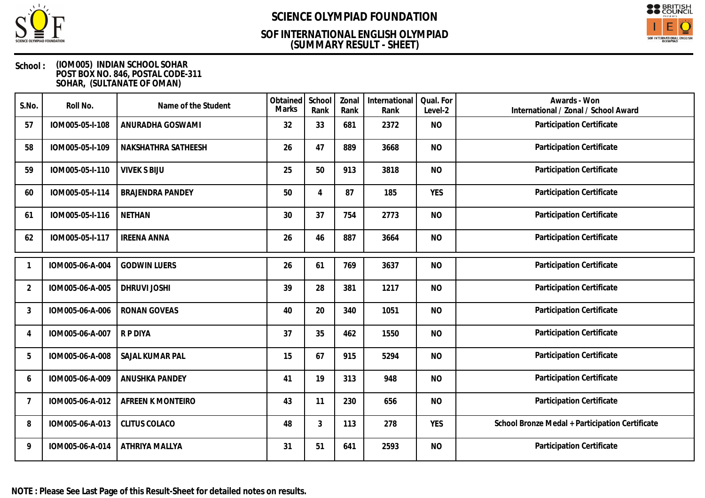

## **(SUMMARY RESULT - SHEET) SOF INTERNATIONAL ENGLISH OLYMPIAD**



### **School : (IOM005) INDIAN SCHOOL SOHAR POST BOX NO. 846, POSTAL CODE-311 SOHAR, (SULTANATE OF OMAN)**

| S.No.          | Roll No.        | Name of the Student     | Obtained<br>Marks | School<br>Rank | Zonal<br>Rank | International<br>Rank | Qual. For<br>Level-2 | Awards - Won<br>International / Zonal / School Award |
|----------------|-----------------|-------------------------|-------------------|----------------|---------------|-----------------------|----------------------|------------------------------------------------------|
| 57             | IOM005-05-I-108 | ANURADHA GOSWAMI        | 32                | 33             | 681           | 2372                  | <b>NO</b>            | Participation Certificate                            |
| 58             | IOM005-05-I-109 | NAKSHATHRA SATHEESH     | 26                | 47             | 889           | 3668                  | <b>NO</b>            | Participation Certificate                            |
| 59             | IOM005-05-I-110 | <b>VIVEK S BIJU</b>     | 25                | 50             | 913           | 3818                  | <b>NO</b>            | Participation Certificate                            |
| 60             | IOM005-05-I-114 | <b>BRAJENDRA PANDEY</b> | 50                | 4              | 87            | 185                   | <b>YES</b>           | Participation Certificate                            |
| 61             | IOM005-05-I-116 | <b>NETHAN</b>           | 30                | 37             | 754           | 2773                  | <b>NO</b>            | Participation Certificate                            |
| 62             | IOM005-05-I-117 | <b>IREENA ANNA</b>      | 26                | 46             | 887           | 3664                  | <b>NO</b>            | Participation Certificate                            |
|                | IOM005-06-A-004 | <b>GODWIN LUERS</b>     | 26                | 61             | 769           | 3637                  | <b>NO</b>            | Participation Certificate                            |
| $\overline{2}$ | IOM005-06-A-005 | <b>DHRUVI JOSHI</b>     | 39                | 28             | 381           | 1217                  | <b>NO</b>            | Participation Certificate                            |
| 3              | IOM005-06-A-006 | <b>RONAN GOVEAS</b>     | 40                | 20             | 340           | 1051                  | <b>NO</b>            | Participation Certificate                            |
| 4              | IOM005-06-A-007 | R P DIYA                | 37                | 35             | 462           | 1550                  | <b>NO</b>            | Participation Certificate                            |
| 5              | IOM005-06-A-008 | SAJAL KUMAR PAL         | 15                | 67             | 915           | 5294                  | <b>NO</b>            | Participation Certificate                            |
| 6              | IOM005-06-A-009 | ANUSHKA PANDEY          | 41                | 19             | 313           | 948                   | <b>NO</b>            | Participation Certificate                            |
| $\overline{7}$ | IOM005-06-A-012 | AFREEN K MONTEIRO       | 43                | 11             | 230           | 656                   | <b>NO</b>            | Participation Certificate                            |
| 8              | IOM005-06-A-013 | <b>CLITUS COLACO</b>    | 48                | 3              | 113           | 278                   | <b>YES</b>           | School Bronze Medal + Participation Certificate      |
| 9              | IOM005-06-A-014 | ATHRIYA MALLYA          | 31                | 51             | 641           | 2593                  | <b>NO</b>            | Participation Certificate                            |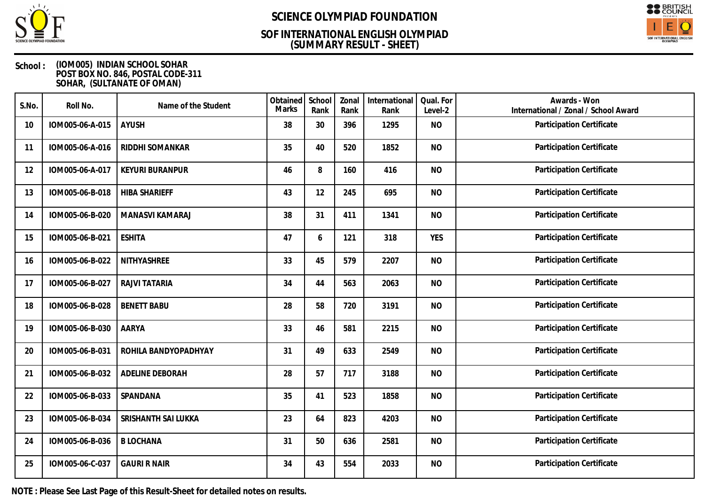

## **(SUMMARY RESULT - SHEET) SOF INTERNATIONAL ENGLISH OLYMPIAD**



### **School : (IOM005) INDIAN SCHOOL SOHAR POST BOX NO. 846, POSTAL CODE-311 SOHAR, (SULTANATE OF OMAN)**

| S.No. | Roll No.        | Name of the Student    | Obtained<br><b>Marks</b> | School<br>Rank | Zonal<br>Rank | International<br>Rank | Qual. For<br>Level-2 | Awards - Won<br>International / Zonal / School Award |
|-------|-----------------|------------------------|--------------------------|----------------|---------------|-----------------------|----------------------|------------------------------------------------------|
| 10    | IOM005-06-A-015 | <b>AYUSH</b>           | 38                       | 30             | 396           | 1295                  | <b>NO</b>            | Participation Certificate                            |
| 11    | IOM005-06-A-016 | RIDDHI SOMANKAR        | 35                       | 40             | 520           | 1852                  | <b>NO</b>            | Participation Certificate                            |
| 12    | IOM005-06-A-017 | <b>KEYURI BURANPUR</b> | 46                       | 8              | 160           | 416                   | <b>NO</b>            | Participation Certificate                            |
| 13    | IOM005-06-B-018 | <b>HIBA SHARIEFF</b>   | 43                       | 12             | 245           | 695                   | <b>NO</b>            | Participation Certificate                            |
| 14    | IOM005-06-B-020 | MANASVI KAMARAJ        | 38                       | 31             | 411           | 1341                  | <b>NO</b>            | Participation Certificate                            |
| 15    | IOM005-06-B-021 | <b>ESHITA</b>          | 47                       | 6              | 121           | 318                   | <b>YES</b>           | Participation Certificate                            |
| 16    | IOM005-06-B-022 | NITHYASHREE            | 33                       | 45             | 579           | 2207                  | <b>NO</b>            | Participation Certificate                            |
| 17    | IOM005-06-B-027 | RAJVI TATARIA          | 34                       | 44             | 563           | 2063                  | <b>NO</b>            | Participation Certificate                            |
| 18    | IOM005-06-B-028 | <b>BENETT BABU</b>     | 28                       | 58             | 720           | 3191                  | <b>NO</b>            | <b>Participation Certificate</b>                     |
| 19    | IOM005-06-B-030 | AARYA                  | 33                       | 46             | 581           | 2215                  | <b>NO</b>            | Participation Certificate                            |
| 20    | IOM005-06-B-031 | ROHILA BANDYOPADHYAY   | 31                       | 49             | 633           | 2549                  | <b>NO</b>            | Participation Certificate                            |
| 21    | IOM005-06-B-032 | ADELINE DEBORAH        | 28                       | 57             | 717           | 3188                  | <b>NO</b>            | Participation Certificate                            |
| 22    | IOM005-06-B-033 | SPANDANA               | 35                       | 41             | 523           | 1858                  | <b>NO</b>            | Participation Certificate                            |
| 23    | IOM005-06-B-034 | SRISHANTH SAI LUKKA    | 23                       | 64             | 823           | 4203                  | <b>NO</b>            | Participation Certificate                            |
| 24    | IOM005-06-B-036 | <b>B LOCHANA</b>       | 31                       | 50             | 636           | 2581                  | <b>NO</b>            | Participation Certificate                            |
| 25    | IOM005-06-C-037 | <b>GAURI R NAIR</b>    | 34                       | 43             | 554           | 2033                  | <b>NO</b>            | Participation Certificate                            |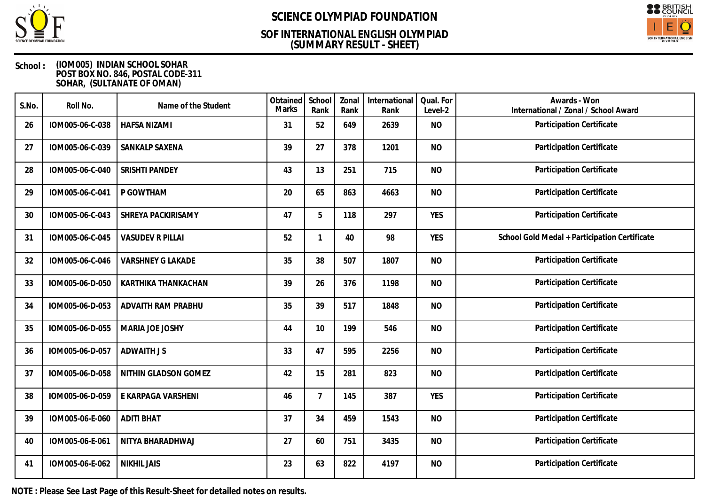

## **(SUMMARY RESULT - SHEET) SOF INTERNATIONAL ENGLISH OLYMPIAD**



### **School : (IOM005) INDIAN SCHOOL SOHAR POST BOX NO. 846, POSTAL CODE-311 SOHAR, (SULTANATE OF OMAN)**

| S.No. | Roll No.        | Name of the Student      | Obtained<br>Marks | School<br>Rank | Zonal<br>Rank | International<br>Rank | Qual. For<br>Level-2 | Awards - Won<br>International / Zonal / School Award |
|-------|-----------------|--------------------------|-------------------|----------------|---------------|-----------------------|----------------------|------------------------------------------------------|
| 26    | IOM005-06-C-038 | <b>HAFSA NIZAMI</b>      | 31                | 52             | 649           | 2639                  | <b>NO</b>            | Participation Certificate                            |
| 27    | IOM005-06-C-039 | SANKALP SAXENA           | 39                | 27             | 378           | 1201                  | <b>NO</b>            | Participation Certificate                            |
| 28    | IOM005-06-C-040 | <b>SRISHTI PANDEY</b>    | 43                | 13             | 251           | 715                   | <b>NO</b>            | Participation Certificate                            |
| 29    | IOM005-06-C-041 | P GOWTHAM                | 20                | 65             | 863           | 4663                  | <b>NO</b>            | Participation Certificate                            |
| 30    | IOM005-06-C-043 | SHREYA PACKIRISAMY       | 47                | 5              | 118           | 297                   | <b>YES</b>           | <b>Participation Certificate</b>                     |
| 31    | IOM005-06-C-045 | <b>VASUDEV R PILLAI</b>  | 52                | $\mathbf{1}$   | 40            | 98                    | <b>YES</b>           | School Gold Medal + Participation Certificate        |
| 32    | IOM005-06-C-046 | <b>VARSHNEY G LAKADE</b> | 35                | 38             | 507           | 1807                  | <b>NO</b>            | Participation Certificate                            |
| 33    | IOM005-06-D-050 | KARTHIKA THANKACHAN      | 39                | 26             | 376           | 1198                  | <b>NO</b>            | Participation Certificate                            |
| 34    | IOM005-06-D-053 | ADVAITH RAM PRABHU       | 35                | 39             | 517           | 1848                  | <b>NO</b>            | Participation Certificate                            |
| 35    | IOM005-06-D-055 | MARIA JOE JOSHY          | 44                | 10             | 199           | 546                   | <b>NO</b>            | Participation Certificate                            |
| 36    | IOM005-06-D-057 | <b>ADWAITH JS</b>        | 33                | 47             | 595           | 2256                  | <b>NO</b>            | Participation Certificate                            |
| 37    | IOM005-06-D-058 | NITHIN GLADSON GOMEZ     | 42                | 15             | 281           | 823                   | <b>NO</b>            | Participation Certificate                            |
| 38    | IOM005-06-D-059 | E KARPAGA VARSHENI       | 46                | $\overline{7}$ | 145           | 387                   | <b>YES</b>           | Participation Certificate                            |
| 39    | IOM005-06-E-060 | <b>ADITI BHAT</b>        | 37                | 34             | 459           | 1543                  | <b>NO</b>            | Participation Certificate                            |
| 40    | IOM005-06-E-061 | NITYA BHARADHWAJ         | 27                | 60             | 751           | 3435                  | <b>NO</b>            | Participation Certificate                            |
| 41    | IOM005-06-E-062 | <b>NIKHIL JAIS</b>       | 23                | 63             | 822           | 4197                  | <b>NO</b>            | Participation Certificate                            |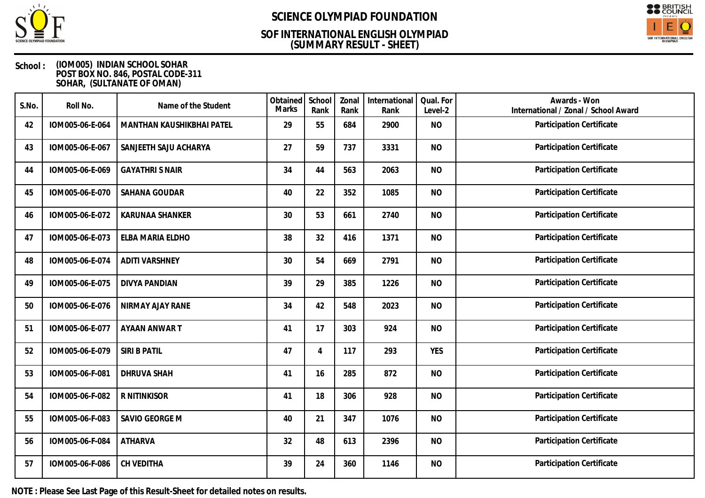

## **(SUMMARY RESULT - SHEET) SOF INTERNATIONAL ENGLISH OLYMPIAD**



### **School : (IOM005) INDIAN SCHOOL SOHAR POST BOX NO. 846, POSTAL CODE-311 SOHAR, (SULTANATE OF OMAN)**

| S.No. | Roll No.        | Name of the Student       | Obtained<br><b>Marks</b> | School<br>Rank | Zonal<br>Rank | International<br>Rank | Qual. For<br>Level-2 | Awards - Won<br>International / Zonal / School Award |
|-------|-----------------|---------------------------|--------------------------|----------------|---------------|-----------------------|----------------------|------------------------------------------------------|
| 42    | IOM005-06-E-064 | MANTHAN KAUSHIKBHAI PATEL | 29                       | 55             | 684           | 2900                  | <b>NO</b>            | Participation Certificate                            |
| 43    | IOM005-06-E-067 | SANJEETH SAJU ACHARYA     | 27                       | 59             | 737           | 3331                  | <b>NO</b>            | Participation Certificate                            |
| 44    | IOM005-06-E-069 | <b>GAYATHRI S NAIR</b>    | 34                       | 44             | 563           | 2063                  | <b>NO</b>            | Participation Certificate                            |
| 45    | IOM005-06-E-070 | SAHANA GOUDAR             | 40                       | 22             | 352           | 1085                  | <b>NO</b>            | Participation Certificate                            |
| 46    | IOM005-06-E-072 | <b>KARUNAA SHANKER</b>    | 30                       | 53             | 661           | 2740                  | <b>NO</b>            | Participation Certificate                            |
| 47    | IOM005-06-E-073 | ELBA MARIA ELDHO          | 38                       | 32             | 416           | 1371                  | <b>NO</b>            | Participation Certificate                            |
| 48    | IOM005-06-E-074 | <b>ADITI VARSHNEY</b>     | 30                       | 54             | 669           | 2791                  | <b>NO</b>            | Participation Certificate                            |
| 49    | IOM005-06-E-075 | <b>DIVYA PANDIAN</b>      | 39                       | 29             | 385           | 1226                  | <b>NO</b>            | Participation Certificate                            |
| 50    | IOM005-06-E-076 | NIRMAY AJAY RANE          | 34                       | 42             | 548           | 2023                  | <b>NO</b>            | Participation Certificate                            |
| 51    | IOM005-06-E-077 | AYAAN ANWAR T             | 41                       | 17             | 303           | 924                   | <b>NO</b>            | Participation Certificate                            |
| 52    | IOM005-06-E-079 | SIRI B PATIL              | 47                       | 4              | 117           | 293                   | <b>YES</b>           | Participation Certificate                            |
| 53    | IOM005-06-F-081 | <b>DHRUVA SHAH</b>        | 41                       | 16             | 285           | 872                   | <b>NO</b>            | Participation Certificate                            |
| 54    | IOM005-06-F-082 | R NITINKISOR              | 41                       | 18             | 306           | 928                   | <b>NO</b>            | Participation Certificate                            |
| 55    | IOM005-06-F-083 | SAVIO GEORGE M            | 40                       | 21             | 347           | 1076                  | <b>NO</b>            | Participation Certificate                            |
| 56    | IOM005-06-F-084 | <b>ATHARVA</b>            | 32                       | 48             | 613           | 2396                  | <b>NO</b>            | Participation Certificate                            |
| 57    | IOM005-06-F-086 | CH VEDITHA                | 39                       | 24             | 360           | 1146                  | <b>NO</b>            | Participation Certificate                            |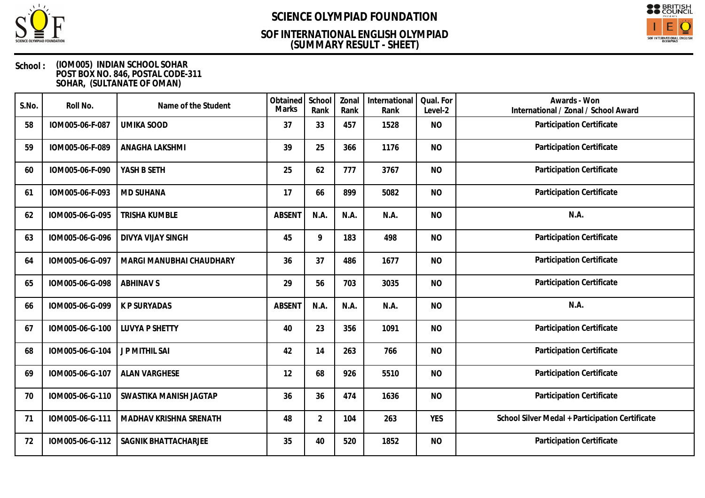

## **(SUMMARY RESULT - SHEET) SOF INTERNATIONAL ENGLISH OLYMPIAD**



### **School : (IOM005) INDIAN SCHOOL SOHAR POST BOX NO. 846, POSTAL CODE-311 SOHAR, (SULTANATE OF OMAN)**

| S.No. | Roll No.        | Name of the Student      | Obtained<br>Marks | School<br>Rank | Zonal<br>Rank | International<br>Rank | Qual. For<br>Level-2 | Awards - Won<br>International / Zonal / School Award |
|-------|-----------------|--------------------------|-------------------|----------------|---------------|-----------------------|----------------------|------------------------------------------------------|
| 58    | IOM005-06-F-087 | <b>UMIKA SOOD</b>        | 37                | 33             | 457           | 1528                  | <b>NO</b>            | Participation Certificate                            |
| 59    | IOM005-06-F-089 | ANAGHA LAKSHMI           | 39                | 25             | 366           | 1176                  | <b>NO</b>            | Participation Certificate                            |
| 60    | IOM005-06-F-090 | YASH B SETH              | 25                | 62             | 777           | 3767                  | <b>NO</b>            | Participation Certificate                            |
| 61    | IOM005-06-F-093 | <b>MD SUHANA</b>         | 17                | 66             | 899           | 5082                  | <b>NO</b>            | Participation Certificate                            |
| 62    | IOM005-06-G-095 | <b>TRISHA KUMBLE</b>     | <b>ABSEN1</b>     | N.A.           | N.A.          | N.A.                  | <b>NO</b>            | N.A.                                                 |
| 63    | IOM005-06-G-096 | <b>DIVYA VIJAY SINGH</b> | 45                | 9              | 183           | 498                   | <b>NO</b>            | <b>Participation Certificate</b>                     |
| 64    | IOM005-06-G-097 | MARGI MANUBHAI CHAUDHARY | 36                | 37             | 486           | 1677                  | <b>NO</b>            | Participation Certificate                            |
| 65    | IOM005-06-G-098 | <b>ABHINAV S</b>         | 29                | 56             | 703           | 3035                  | <b>NO</b>            | Participation Certificate                            |
| 66    | IOM005-06-G-099 | <b>K P SURYADAS</b>      | <b>ABSENT</b>     | N.A.           | N.A.          | N.A.                  | <b>NO</b>            | N.A.                                                 |
| 67    | IOM005-06-G-100 | <b>LUVYA P SHETTY</b>    | 40                | 23             | 356           | 1091                  | <b>NO</b>            | Participation Certificate                            |
| 68    | IOM005-06-G-104 | J P MITHIL SAI           | 42                | 14             | 263           | 766                   | <b>NO</b>            | Participation Certificate                            |
| 69    | IOM005-06-G-107 | <b>ALAN VARGHESE</b>     | 12                | 68             | 926           | 5510                  | <b>NO</b>            | Participation Certificate                            |
| 70    | IOM005-06-G-110 | SWASTIKA MANISH JAGTAP   | 36                | 36             | 474           | 1636                  | <b>NO</b>            | Participation Certificate                            |
| 71    | IOM005-06-G-111 | MADHAV KRISHNA SRENATH   | 48                | $\overline{2}$ | 104           | 263                   | <b>YES</b>           | School Silver Medal + Participation Certificate      |
| 72    | IOM005-06-G-112 | SAGNIK BHATTACHARJEE     | 35                | 40             | 520           | 1852                  | <b>NO</b>            | Participation Certificate                            |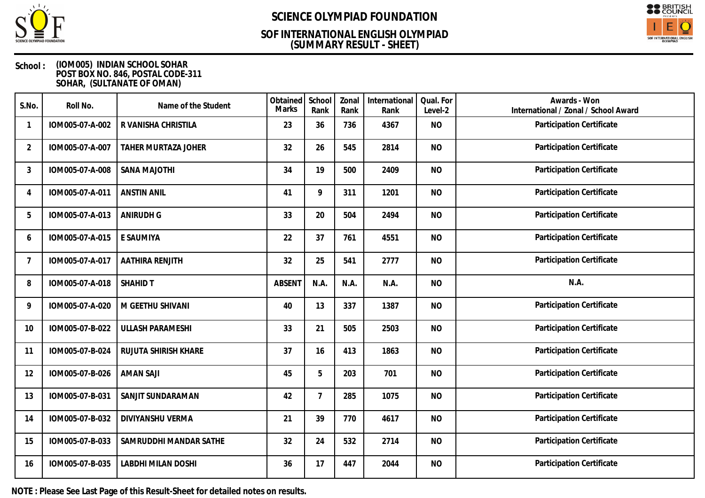

## **(SUMMARY RESULT - SHEET) SOF INTERNATIONAL ENGLISH OLYMPIAD**



### **School : (IOM005) INDIAN SCHOOL SOHAR POST BOX NO. 846, POSTAL CODE-311 SOHAR, (SULTANATE OF OMAN)**

| S.No.          | Roll No.        | Name of the Student       | Obtained<br><b>Marks</b> | School<br>Rank | Zonal<br>Rank | International<br>Rank | Qual. For<br>Level-2 | Awards - Won<br>International / Zonal / School Award |
|----------------|-----------------|---------------------------|--------------------------|----------------|---------------|-----------------------|----------------------|------------------------------------------------------|
|                | IOM005-07-A-002 | R VANISHA CHRISTILA       | 23                       | 36             | 736           | 4367                  | <b>NO</b>            | Participation Certificate                            |
| $\overline{2}$ | IOM005-07-A-007 | TAHER MURTAZA JOHER       | 32                       | 26             | 545           | 2814                  | <b>NO</b>            | Participation Certificate                            |
| 3              | IOM005-07-A-008 | SANA MAJOTHI              | 34                       | 19             | 500           | 2409                  | <b>NO</b>            | Participation Certificate                            |
| $\overline{A}$ | IOM005-07-A-011 | <b>ANSTIN ANIL</b>        | 41                       | 9              | 311           | 1201                  | <b>NO</b>            | Participation Certificate                            |
| 5              | IOM005-07-A-013 | <b>ANIRUDH G</b>          | 33                       | 20             | 504           | 2494                  | <b>NO</b>            | Participation Certificate                            |
| 6              | IOM005-07-A-015 | E SAUMIYA                 | 22                       | 37             | 761           | 4551                  | <b>NO</b>            | Participation Certificate                            |
|                | IOM005-07-A-017 | <b>AATHIRA RENJITH</b>    | 32                       | 25             | 541           | 2777                  | <b>NO</b>            | Participation Certificate                            |
| 8              | IOM005-07-A-018 | <b>SHAHID T</b>           | <b>ABSENT</b>            | N.A.           | N.A.          | N.A.                  | <b>NO</b>            | N.A.                                                 |
| 9              | IOM005-07-A-020 | M GEETHU SHIVANI          | 40                       | 13             | 337           | 1387                  | <b>NO</b>            | Participation Certificate                            |
| 10             | IOM005-07-B-022 | <b>ULLASH PARAMESHI</b>   | 33                       | 21             | 505           | 2503                  | <b>NO</b>            | Participation Certificate                            |
| 11             | IOM005-07-B-024 | RUJUTA SHIRISH KHARE      | 37                       | 16             | 413           | 1863                  | <b>NO</b>            | Participation Certificate                            |
| 12             | IOM005-07-B-026 | <b>AMAN SAJI</b>          | 45                       | 5              | 203           | 701                   | <b>NO</b>            | Participation Certificate                            |
| 13             | IOM005-07-B-031 | SANJIT SUNDARAMAN         | 42                       | $\overline{7}$ | 285           | 1075                  | <b>NO</b>            | Participation Certificate                            |
| 14             | IOM005-07-B-032 | DIVIYANSHU VERMA          | 21                       | 39             | 770           | 4617                  | <b>NO</b>            | Participation Certificate                            |
| 15             | IOM005-07-B-033 | SAMRUDDHI MANDAR SATHE    | 32                       | 24             | 532           | 2714                  | <b>NO</b>            | Participation Certificate                            |
| 16             | IOM005-07-B-035 | <b>LABDHI MILAN DOSHI</b> | 36                       | 17             | 447           | 2044                  | <b>NO</b>            | Participation Certificate                            |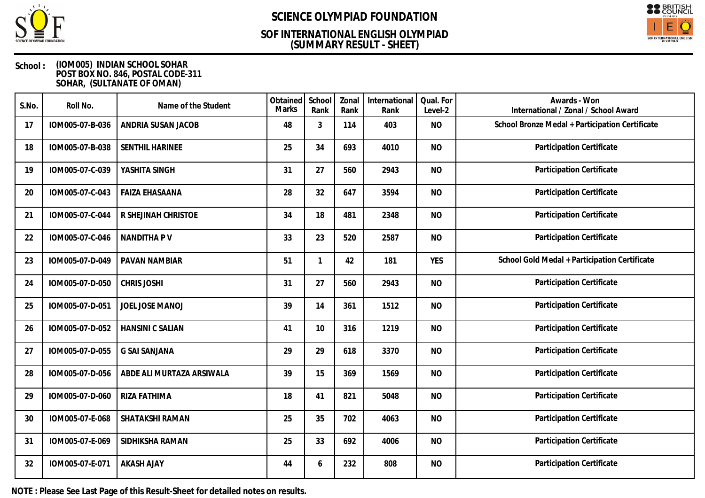

## **(SUMMARY RESULT - SHEET) SOF INTERNATIONAL ENGLISH OLYMPIAD**



### **School : (IOM005) INDIAN SCHOOL SOHAR POST BOX NO. 846, POSTAL CODE-311 SOHAR, (SULTANATE OF OMAN)**

| S.No. | Roll No.        | Name of the Student       | Obtained<br><b>Marks</b> | School<br>Rank | Zonal<br>Rank | International<br>Rank | Qual. For<br>Level-2 | Awards - Won<br>International / Zonal / School Award |
|-------|-----------------|---------------------------|--------------------------|----------------|---------------|-----------------------|----------------------|------------------------------------------------------|
| 17    | IOM005-07-B-036 | ANDRIA SUSAN JACOB        | 48                       | 3              | 114           | 403                   | <b>NO</b>            | School Bronze Medal + Participation Certificate      |
| 18    | IOM005-07-B-038 | SENTHIL HARINEE           | 25                       | 34             | 693           | 4010                  | <b>NO</b>            | <b>Participation Certificate</b>                     |
| 19    | IOM005-07-C-039 | YASHITA SINGH             | 31                       | 27             | 560           | 2943                  | <b>NO</b>            | Participation Certificate                            |
| 20    | IOM005-07-C-043 | <b>FAIZA EHASAANA</b>     | 28                       | 32             | 647           | 3594                  | <b>NO</b>            | Participation Certificate                            |
| 21    | IOM005-07-C-044 | R SHEJINAH CHRISTOE       | 34                       | 18             | 481           | 2348                  | <b>NO</b>            | Participation Certificate                            |
| 22    | IOM005-07-C-046 | NANDITHA P V              | 33                       | 23             | 520           | 2587                  | <b>NO</b>            | Participation Certificate                            |
| 23    | IOM005-07-D-049 | PAVAN NAMBIAR             | 51                       | 1              | 42            | 181                   | <b>YES</b>           | School Gold Medal + Participation Certificate        |
| 24    | IOM005-07-D-050 | <b>CHRIS JOSHI</b>        | 31                       | 27             | 560           | 2943                  | <b>NO</b>            | Participation Certificate                            |
| 25    | IOM005-07-D-051 | JOEL JOSE MANOJ           | 39                       | 14             | 361           | 1512                  | <b>NO</b>            | <b>Participation Certificate</b>                     |
| 26    | IOM005-07-D-052 | <b>HANSINI C SALIAN</b>   | 41                       | 10             | 316           | 1219                  | <b>NO</b>            | Participation Certificate                            |
| 27    | IOM005-07-D-055 | <b>G SAI SANJANA</b>      | 29                       | 29             | 618           | 3370                  | <b>NO</b>            | Participation Certificate                            |
| 28    | IOM005-07-D-056 | ABDE ALI MURTAZA ARSIWALA | 39                       | 15             | 369           | 1569                  | <b>NO</b>            | Participation Certificate                            |
| 29    | IOM005-07-D-060 | RIZA FATHIMA              | 18                       | 41             | 821           | 5048                  | <b>NO</b>            | Participation Certificate                            |
| 30    | IOM005-07-E-068 | SHATAKSHI RAMAN           | 25                       | 35             | 702           | 4063                  | <b>NO</b>            | Participation Certificate                            |
| 31    | IOM005-07-E-069 | SIDHIKSHA RAMAN           | 25                       | 33             | 692           | 4006                  | <b>NO</b>            | Participation Certificate                            |
| 32    | IOM005-07-E-071 | <b>AKASH AJAY</b>         | 44                       | 6              | 232           | 808                   | <b>NO</b>            | Participation Certificate                            |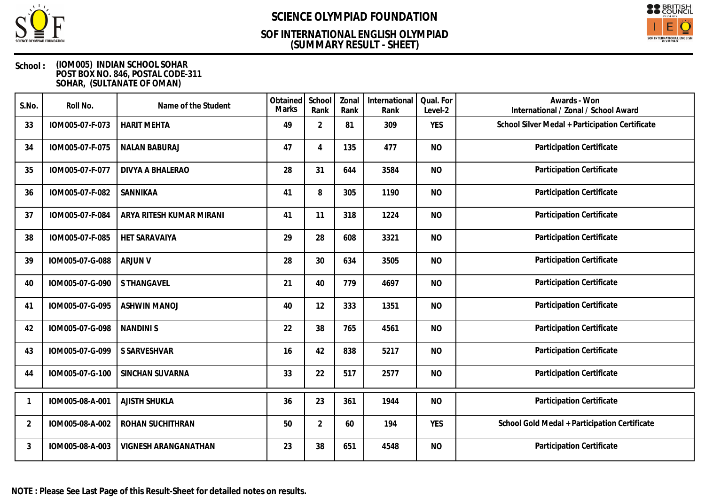

## **(SUMMARY RESULT - SHEET) SOF INTERNATIONAL ENGLISH OLYMPIAD**



### **School : (IOM005) INDIAN SCHOOL SOHAR POST BOX NO. 846, POSTAL CODE-311 SOHAR, (SULTANATE OF OMAN)**

| S.No.          | Roll No.        | Name of the Student      | Obtained<br>Marks | School<br>Rank | Zonal<br>Rank | International<br>Rank | Qual. For<br>Level-2 | Awards - Won<br>International / Zonal / School Award |
|----------------|-----------------|--------------------------|-------------------|----------------|---------------|-----------------------|----------------------|------------------------------------------------------|
| 33             | IOM005-07-F-073 | <b>HARIT MEHTA</b>       | 49                | $\overline{2}$ | 81            | 309                   | <b>YES</b>           | School Silver Medal + Participation Certificate      |
| 34             | IOM005-07-F-075 | <b>NALAN BABURAJ</b>     | 47                | 4              | 135           | 477                   | <b>NO</b>            | Participation Certificate                            |
| 35             | IOM005-07-F-077 | DIVYA A BHALERAO         | 28                | 31             | 644           | 3584                  | <b>NO</b>            | Participation Certificate                            |
| 36             | IOM005-07-F-082 | SANNIKAA                 | 41                | 8              | 305           | 1190                  | <b>NO</b>            | Participation Certificate                            |
| 37             | IOM005-07-F-084 | ARYA RITESH KUMAR MIRANI | 41                | 11             | 318           | 1224                  | <b>NO</b>            | Participation Certificate                            |
| 38             | IOM005-07-F-085 | HET SARAVAIYA            | 29                | 28             | 608           | 3321                  | <b>NO</b>            | Participation Certificate                            |
| 39             | IOM005-07-G-088 | <b>ARJUN V</b>           | 28                | 30             | 634           | 3505                  | <b>NO</b>            | Participation Certificate                            |
| 40             | IOM005-07-G-090 | <b>S THANGAVEL</b>       | 21                | 40             | 779           | 4697                  | <b>NO</b>            | Participation Certificate                            |
| 41             | IOM005-07-G-095 | <b>ASHWIN MANOJ</b>      | 40                | 12             | 333           | 1351                  | <b>NO</b>            | Participation Certificate                            |
| 42             | IOM005-07-G-098 | <b>NANDINIS</b>          | 22                | 38             | 765           | 4561                  | <b>NO</b>            | Participation Certificate                            |
| 43             | IOM005-07-G-099 | S SARVESHVAR             | 16                | 42             | 838           | 5217                  | <b>NO</b>            | Participation Certificate                            |
| 44             | IOM005-07-G-100 | SINCHAN SUVARNA          | 33                | 22             | 517           | 2577                  | <b>NO</b>            | Participation Certificate                            |
|                | IOM005-08-A-001 | <b>AJISTH SHUKLA</b>     | 36                | 23             | 361           | 1944                  | <b>NO</b>            | Participation Certificate                            |
| $\overline{2}$ | IOM005-08-A-002 | ROHAN SUCHITHRAN         | 50                | $\overline{2}$ | 60            | 194                   | <b>YES</b>           | School Gold Medal + Participation Certificate        |
| 3              | IOM005-08-A-003 | VIGNESH ARANGANATHAN     | 23                | 38             | 651           | 4548                  | <b>NO</b>            | Participation Certificate                            |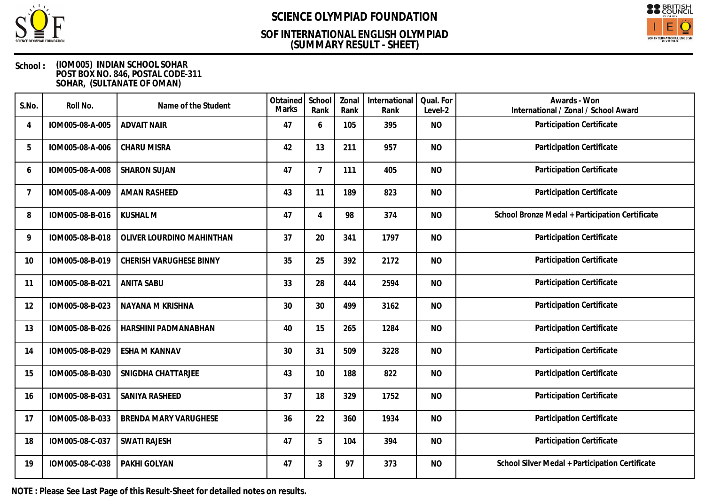

## **(SUMMARY RESULT - SHEET) SOF INTERNATIONAL ENGLISH OLYMPIAD**



### **School : (IOM005) INDIAN SCHOOL SOHAR POST BOX NO. 846, POSTAL CODE-311 SOHAR, (SULTANATE OF OMAN)**

| S.No.          | Roll No.        | Name of the Student       | Obtained<br>Marks | School<br>Rank | Zonal<br>Rank | International<br>Rank | Qual. For<br>Level-2 | Awards - Won<br>International / Zonal / School Award |
|----------------|-----------------|---------------------------|-------------------|----------------|---------------|-----------------------|----------------------|------------------------------------------------------|
| $\overline{4}$ | IOM005-08-A-005 | <b>ADVAIT NAIR</b>        | 47                | 6              | 105           | 395                   | <b>NO</b>            | Participation Certificate                            |
| 5              | IOM005-08-A-006 | <b>CHARU MISRA</b>        | 42                | 13             | 211           | 957                   | <b>NO</b>            | Participation Certificate                            |
| 6              | IOM005-08-A-008 | <b>SHARON SUJAN</b>       | 47                | $\overline{7}$ | 111           | 405                   | <b>NO</b>            | Participation Certificate                            |
| 7              | IOM005-08-A-009 | <b>AMAN RASHEED</b>       | 43                | 11             | 189           | 823                   | <b>NO</b>            | Participation Certificate                            |
| 8              | IOM005-08-B-016 | <b>KUSHAL M</b>           | 47                | $\overline{4}$ | 98            | 374                   | <b>NO</b>            | School Bronze Medal + Participation Certificate      |
| 9              | IOM005-08-B-018 | OLIVER LOURDINO MAHINTHAN | 37                | 20             | 341           | 1797                  | <b>NO</b>            | Participation Certificate                            |
| 10             | IOM005-08-B-019 | CHERISH VARUGHESE BINNY   | 35                | 25             | 392           | 2172                  | <b>NO</b>            | Participation Certificate                            |
| 11             | IOM005-08-B-021 | <b>ANITA SABU</b>         | 33                | 28             | 444           | 2594                  | <b>NO</b>            | Participation Certificate                            |
| 12             | IOM005-08-B-023 | NAYANA M KRISHNA          | 30                | 30             | 499           | 3162                  | <b>NO</b>            | Participation Certificate                            |
| 13             | IOM005-08-B-026 | HARSHINI PADMANABHAN      | 40                | 15             | 265           | 1284                  | <b>NO</b>            | Participation Certificate                            |
| 14             | IOM005-08-B-029 | ESHA M KANNAV             | 30                | 31             | 509           | 3228                  | <b>NO</b>            | Participation Certificate                            |
| 15             | IOM005-08-B-030 | SNIGDHA CHATTARJEE        | 43                | 10             | 188           | 822                   | <b>NO</b>            | Participation Certificate                            |
| 16             | IOM005-08-B-031 | SANIYA RASHEED            | 37                | 18             | 329           | 1752                  | <b>NO</b>            | Participation Certificate                            |
| 17             | IOM005-08-B-033 | BRENDA MARY VARUGHESE     | 36                | 22             | 360           | 1934                  | <b>NO</b>            | Participation Certificate                            |
| 18             | IOM005-08-C-037 | <b>SWATI RAJESH</b>       | 47                | 5              | 104           | 394                   | <b>NO</b>            | Participation Certificate                            |
| 19             | IOM005-08-C-038 | PAKHI GOLYAN              | 47                | 3              | 97            | 373                   | <b>NO</b>            | School Silver Medal + Participation Certificate      |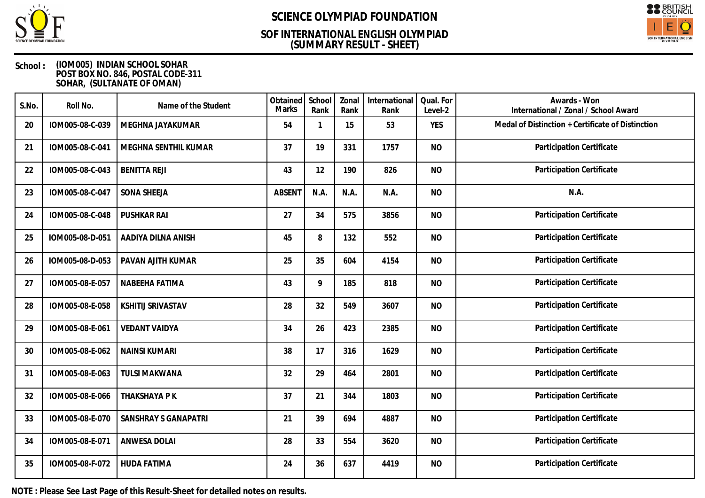

## **(SUMMARY RESULT - SHEET) SOF INTERNATIONAL ENGLISH OLYMPIAD**



### **School : (IOM005) INDIAN SCHOOL SOHAR POST BOX NO. 846, POSTAL CODE-311 SOHAR, (SULTANATE OF OMAN)**

| S.No. | Roll No.        | Name of the Student      | Obtained<br>Marks | School<br>Rank | Zonal<br>Rank | International<br>Rank | Qual. For<br>Level-2 | Awards - Won<br>International / Zonal / School Award |
|-------|-----------------|--------------------------|-------------------|----------------|---------------|-----------------------|----------------------|------------------------------------------------------|
| 20    | IOM005-08-C-039 | MEGHNA JAYAKUMAR         | 54                | 1              | 15            | 53                    | <b>YES</b>           | Medal of Distinction + Certificate of Distinction    |
| 21    | IOM005-08-C-041 | MEGHNA SENTHIL KUMAR     | 37                | 19             | 331           | 1757                  | <b>NO</b>            | Participation Certificate                            |
| 22    | IOM005-08-C-043 | <b>BENITTA REJI</b>      | 43                | 12             | 190           | 826                   | <b>NO</b>            | Participation Certificate                            |
| 23    | IOM005-08-C-047 | <b>SONA SHEEJA</b>       | <b>ABSEN1</b>     | N.A.           | N.A.          | N.A.                  | <b>NO</b>            | N.A.                                                 |
| 24    | IOM005-08-C-048 | <b>PUSHKAR RAI</b>       | 27                | 34             | 575           | 3856                  | <b>NO</b>            | Participation Certificate                            |
| 25    | IOM005-08-D-051 | AADIYA DILNA ANISH       | 45                | 8              | 132           | 552                   | <b>NO</b>            | Participation Certificate                            |
| 26    | IOM005-08-D-053 | PAVAN AJITH KUMAR        | 25                | 35             | 604           | 4154                  | <b>NO</b>            | Participation Certificate                            |
| 27    | IOM005-08-E-057 | NABEEHA FATIMA           | 43                | 9              | 185           | 818                   | <b>NO</b>            | Participation Certificate                            |
| 28    | IOM005-08-E-058 | <b>KSHITIJ SRIVASTAV</b> | 28                | 32             | 549           | 3607                  | <b>NO</b>            | Participation Certificate                            |
| 29    | IOM005-08-E-061 | <b>VEDANT VAIDYA</b>     | 34                | 26             | 423           | 2385                  | <b>NO</b>            | Participation Certificate                            |
| 30    | IOM005-08-E-062 | <b>NAINSI KUMARI</b>     | 38                | 17             | 316           | 1629                  | <b>NO</b>            | Participation Certificate                            |
| 31    | IOM005-08-E-063 | <b>TULSI MAKWANA</b>     | 32                | 29             | 464           | 2801                  | <b>NO</b>            | Participation Certificate                            |
| 32    | IOM005-08-E-066 | THAKSHAYA P K            | 37                | 21             | 344           | 1803                  | <b>NO</b>            | Participation Certificate                            |
| 33    | IOM005-08-E-070 | SANSHRAY S GANAPATRI     | 21                | 39             | 694           | 4887                  | <b>NO</b>            | Participation Certificate                            |
| 34    | IOM005-08-E-071 | <b>ANWESA DOLAI</b>      | 28                | 33             | 554           | 3620                  | <b>NO</b>            | Participation Certificate                            |
| 35    | IOM005-08-F-072 | <b>HUDA FATIMA</b>       | 24                | 36             | 637           | 4419                  | <b>NO</b>            | Participation Certificate                            |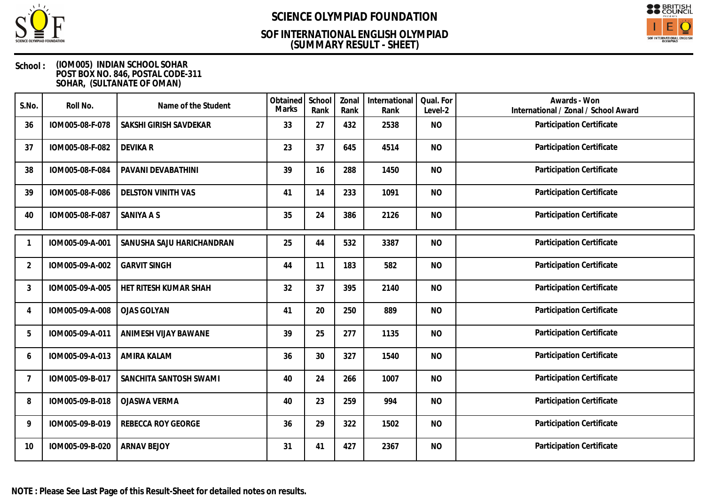

## **(SUMMARY RESULT - SHEET) SOF INTERNATIONAL ENGLISH OLYMPIAD**



### **School : (IOM005) INDIAN SCHOOL SOHAR POST BOX NO. 846, POSTAL CODE-311 SOHAR, (SULTANATE OF OMAN)**

| S.No.          | Roll No.        | Name of the Student       | Obtained<br>Marks | School<br>Rank | Zonal<br>Rank | International<br>Rank | Qual. For<br>Level-2 | Awards - Won<br>International / Zonal / School Award |
|----------------|-----------------|---------------------------|-------------------|----------------|---------------|-----------------------|----------------------|------------------------------------------------------|
| 36             | IOM005-08-F-078 | SAKSHI GIRISH SAVDEKAR    | 33                | 27             | 432           | 2538                  | <b>NO</b>            | Participation Certificate                            |
| 37             | IOM005-08-F-082 | <b>DEVIKAR</b>            | 23                | 37             | 645           | 4514                  | <b>NO</b>            | Participation Certificate                            |
| 38             | IOM005-08-F-084 | PAVANI DEVABATHINI        | 39                | 16             | 288           | 1450                  | <b>NO</b>            | Participation Certificate                            |
| 39             | IOM005-08-F-086 | <b>DELSTON VINITH VAS</b> | 41                | 14             | 233           | 1091                  | <b>NO</b>            | Participation Certificate                            |
| 40             | IOM005-08-F-087 | SANIYA A S                | 35                | 24             | 386           | 2126                  | <b>NO</b>            | Participation Certificate                            |
|                | IOM005-09-A-001 | SANUSHA SAJU HARICHANDRAN | 25                | 44             | 532           | 3387                  | <b>NO</b>            | Participation Certificate                            |
| $\overline{2}$ | IOM005-09-A-002 | <b>GARVIT SINGH</b>       | 44                | 11             | 183           | 582                   | <b>NO</b>            | Participation Certificate                            |
| 3              | IOM005-09-A-005 | HET RITESH KUMAR SHAH     | 32                | 37             | 395           | 2140                  | <b>NO</b>            | Participation Certificate                            |
| 4              | IOM005-09-A-008 | <b>OJAS GOLYAN</b>        | 41                | 20             | 250           | 889                   | <b>NO</b>            | Participation Certificate                            |
| 5              | IOM005-09-A-011 | ANIMESH VIJAY BAWANE      | 39                | 25             | 277           | 1135                  | <b>NO</b>            | Participation Certificate                            |
| 6              | IOM005-09-A-013 | <b>AMIRA KALAM</b>        | 36                | 30             | 327           | 1540                  | <b>NO</b>            | Participation Certificate                            |
| $\overline{7}$ | IOM005-09-B-017 | SANCHITA SANTOSH SWAMI    | 40                | 24             | 266           | 1007                  | <b>NO</b>            | Participation Certificate                            |
| 8              | IOM005-09-B-018 | <b>OJASWA VERMA</b>       | 40                | 23             | 259           | 994                   | <b>NO</b>            | Participation Certificate                            |
| 9              | IOM005-09-B-019 | <b>REBECCA ROY GEORGE</b> | 36                | 29             | 322           | 1502                  | <b>NO</b>            | Participation Certificate                            |
| 10             | IOM005-09-B-020 | <b>ARNAV BEJOY</b>        | 31                | 41             | 427           | 2367                  | <b>NO</b>            | Participation Certificate                            |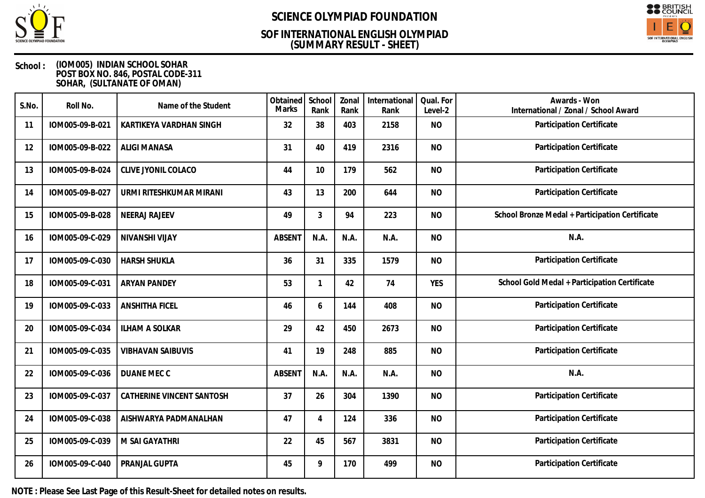

## **(SUMMARY RESULT - SHEET) SOF INTERNATIONAL ENGLISH OLYMPIAD**



### **School : (IOM005) INDIAN SCHOOL SOHAR POST BOX NO. 846, POSTAL CODE-311 SOHAR, (SULTANATE OF OMAN)**

| S.No. | Roll No.        | Name of the Student       | Obtained<br><b>Marks</b> | School<br>Rank | Zonal<br>Rank | International<br>Rank | Qual. For<br>Level-2 | Awards - Won<br>International / Zonal / School Award |
|-------|-----------------|---------------------------|--------------------------|----------------|---------------|-----------------------|----------------------|------------------------------------------------------|
| 11    | IOM005-09-B-021 | KARTIKEYA VARDHAN SINGH   | 32                       | 38             | 403           | 2158                  | <b>NO</b>            | Participation Certificate                            |
| 12    | IOM005-09-B-022 | <b>ALIGI MANASA</b>       | 31                       | 40             | 419           | 2316                  | <b>NO</b>            | <b>Participation Certificate</b>                     |
| 13    | IOM005-09-B-024 | CLIVE JYONIL COLACO       | 44                       | 10             | 179           | 562                   | <b>NO</b>            | Participation Certificate                            |
| 14    | IOM005-09-B-027 | URMI RITESHKUMAR MIRANI   | 43                       | 13             | 200           | 644                   | <b>NO</b>            | Participation Certificate                            |
| 15    | IOM005-09-B-028 | <b>NEERAJ RAJEEV</b>      | 49                       | 3              | 94            | 223                   | <b>NO</b>            | School Bronze Medal + Participation Certificate      |
| 16    | IOM005-09-C-029 | NIVANSHI VIJAY            | <b>ABSENT</b>            | N.A.           | N.A.          | N.A.                  | <b>NO</b>            | N.A.                                                 |
| 17    | IOM005-09-C-030 | <b>HARSH SHUKLA</b>       | 36                       | 31             | 335           | 1579                  | <b>NO</b>            | Participation Certificate                            |
| 18    | IOM005-09-C-031 | <b>ARYAN PANDEY</b>       | 53                       | $\mathbf{1}$   | 42            | 74                    | <b>YES</b>           | School Gold Medal + Participation Certificate        |
| 19    | IOM005-09-C-033 | <b>ANSHITHA FICEL</b>     | 46                       | 6              | 144           | 408                   | <b>NO</b>            | Participation Certificate                            |
| 20    | IOM005-09-C-034 | <b>ILHAM A SOLKAR</b>     | 29                       | 42             | 450           | 2673                  | <b>NO</b>            | Participation Certificate                            |
| 21    | IOM005-09-C-035 | <b>VIBHAVAN SAIBUVIS</b>  | 41                       | 19             | 248           | 885                   | <b>NO</b>            | Participation Certificate                            |
| 22    | IOM005-09-C-036 | DUANE MEC C               | <b>ABSENT</b>            | N.A.           | N.A.          | N.A.                  | <b>NO</b>            | N.A.                                                 |
| 23    | IOM005-09-C-037 | CATHERINE VINCENT SANTOSH | 37                       | 26             | 304           | 1390                  | <b>NO</b>            | Participation Certificate                            |
| 24    | IOM005-09-C-038 | AISHWARYA PADMANALHAN     | 47                       | $\overline{4}$ | 124           | 336                   | <b>NO</b>            | Participation Certificate                            |
| 25    | IOM005-09-C-039 | M SAI GAYATHRI            | 22                       | 45             | 567           | 3831                  | <b>NO</b>            | Participation Certificate                            |
| 26    | IOM005-09-C-040 | PRANJAL GUPTA             | 45                       | 9              | 170           | 499                   | <b>NO</b>            | Participation Certificate                            |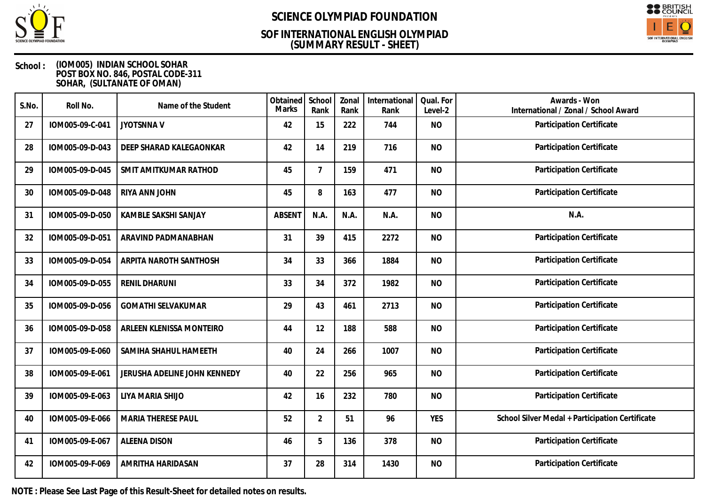

## **(SUMMARY RESULT - SHEET) SOF INTERNATIONAL ENGLISH OLYMPIAD**



### **School : (IOM005) INDIAN SCHOOL SOHAR POST BOX NO. 846, POSTAL CODE-311 SOHAR, (SULTANATE OF OMAN)**

| S.No. | Roll No.        | Name of the Student          | Obtained<br><b>Marks</b> | School<br>Rank | Zonal<br>Rank | International<br>Rank | Qual. For<br>Level-2 | Awards - Won<br>International / Zonal / School Award |
|-------|-----------------|------------------------------|--------------------------|----------------|---------------|-----------------------|----------------------|------------------------------------------------------|
| 27    | IOM005-09-C-041 | <b>JYOTSNNAV</b>             | 42                       | 15             | 222           | 744                   | <b>NO</b>            | Participation Certificate                            |
| 28    | IOM005-09-D-043 | DEEP SHARAD KALEGAONKAR      | 42                       | 14             | 219           | 716                   | <b>NO</b>            | Participation Certificate                            |
| 29    | IOM005-09-D-045 | SMIT AMITKUMAR RATHOD        | 45                       | 7              | 159           | 471                   | <b>NO</b>            | Participation Certificate                            |
| 30    | IOM005-09-D-048 | RIYA ANN JOHN                | 45                       | 8              | 163           | 477                   | <b>NO</b>            | Participation Certificate                            |
| 31    | IOM005-09-D-050 | KAMBLE SAKSHI SANJAY         | <b>ABSENT</b>            | N.A.           | N.A.          | N.A.                  | <b>NO</b>            | N.A.                                                 |
| 32    | IOM005-09-D-051 | ARAVIND PADMANABHAN          | 31                       | 39             | 415           | 2272                  | <b>NO</b>            | Participation Certificate                            |
| 33    | IOM005-09-D-054 | ARPITA NAROTH SANTHOSH       | 34                       | 33             | 366           | 1884                  | <b>NO</b>            | Participation Certificate                            |
| 34    | IOM005-09-D-055 | <b>RENIL DHARUNI</b>         | 33                       | 34             | 372           | 1982                  | <b>NO</b>            | Participation Certificate                            |
| 35    | IOM005-09-D-056 | <b>GOMATHI SELVAKUMAR</b>    | 29                       | 43             | 461           | 2713                  | <b>NO</b>            | Participation Certificate                            |
| 36    | IOM005-09-D-058 | ARLEEN KLENISSA MONTEIRO     | 44                       | 12             | 188           | 588                   | <b>NO</b>            | Participation Certificate                            |
| 37    | IOM005-09-E-060 | SAMIHA SHAHUL HAMEETH        | 40                       | 24             | 266           | 1007                  | <b>NO</b>            | Participation Certificate                            |
| 38    | IOM005-09-E-061 | JERUSHA ADELINE JOHN KENNEDY | 40                       | 22             | 256           | 965                   | <b>NO</b>            | Participation Certificate                            |
| 39    | IOM005-09-E-063 | LIYA MARIA SHIJO             | 42                       | 16             | 232           | 780                   | <b>NO</b>            | Participation Certificate                            |
| 40    | IOM005-09-E-066 | <b>MARIA THERESE PAUL</b>    | 52                       | $\overline{2}$ | 51            | 96                    | <b>YES</b>           | School Silver Medal + Participation Certificate      |
| 41    | IOM005-09-E-067 | <b>ALEENA DISON</b>          | 46                       | 5              | 136           | 378                   | <b>NO</b>            | Participation Certificate                            |
| 42    | IOM005-09-F-069 | AMRITHA HARIDASAN            | 37                       | 28             | 314           | 1430                  | <b>NO</b>            | Participation Certificate                            |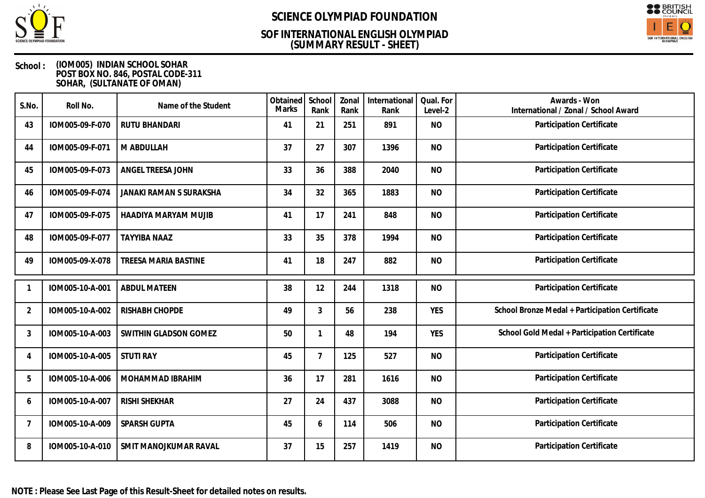

## **(SUMMARY RESULT - SHEET) SOF INTERNATIONAL ENGLISH OLYMPIAD**



### **School : (IOM005) INDIAN SCHOOL SOHAR POST BOX NO. 846, POSTAL CODE-311 SOHAR, (SULTANATE OF OMAN)**

| S.No.          | Roll No.        | Name of the Student         | Obtained<br><b>Marks</b> | School<br>Rank | Zonal<br>Rank | International<br>Rank | Qual. For<br>Level-2 | Awards - Won<br>International / Zonal / School Award |
|----------------|-----------------|-----------------------------|--------------------------|----------------|---------------|-----------------------|----------------------|------------------------------------------------------|
| 43             | IOM005-09-F-070 | <b>RUTU BHANDARI</b>        | 41                       | 21             | 251           | 891                   | <b>NO</b>            | Participation Certificate                            |
| 44             | IOM005-09-F-071 | M ABDULLAH                  | 37                       | 27             | 307           | 1396                  | <b>NO</b>            | Participation Certificate                            |
| 45             | IOM005-09-F-073 | ANGEL TREESA JOHN           | 33                       | 36             | 388           | 2040                  | <b>NO</b>            | Participation Certificate                            |
| 46             | IOM005-09-F-074 | JANAKI RAMAN S SURAKSHA     | 34                       | 32             | 365           | 1883                  | <b>NO</b>            | Participation Certificate                            |
| 47             | IOM005-09-F-075 | HAADIYA MARYAM MUJIB        | 41                       | 17             | 241           | 848                   | <b>NO</b>            | Participation Certificate                            |
| 48             | IOM005-09-F-077 | <b>TAYYIBA NAAZ</b>         | 33                       | 35             | 378           | 1994                  | <b>NO</b>            | Participation Certificate                            |
| 49             | IOM005-09-X-078 | <b>TREESA MARIA BASTINE</b> | 41                       | 18             | 247           | 882                   | <b>NO</b>            | Participation Certificate                            |
|                | IOM005-10-A-001 | <b>ABDUL MATEEN</b>         | 38                       | 12             | 244           | 1318                  | <b>NO</b>            | Participation Certificate                            |
| $\overline{2}$ | IOM005-10-A-002 | RISHABH CHOPDE              | 49                       | $\mathfrak{Z}$ | 56            | 238                   | <b>YES</b>           | School Bronze Medal + Participation Certificate      |
| 3              | IOM005-10-A-003 | SWITHIN GLADSON GOMEZ       | 50                       | 1              | 48            | 194                   | <b>YES</b>           | School Gold Medal + Participation Certificate        |
| 4              | IOM005-10-A-005 | <b>STUTI RAY</b>            | 45                       | $\overline{7}$ | 125           | 527                   | <b>NO</b>            | Participation Certificate                            |
| 5              | IOM005-10-A-006 | MOHAMMAD IBRAHIM            | 36                       | 17             | 281           | 1616                  | <b>NO</b>            | Participation Certificate                            |
| 6              | IOM005-10-A-007 | <b>RISHI SHEKHAR</b>        | 27                       | 24             | 437           | 3088                  | <b>NO</b>            | Participation Certificate                            |
| $\overline{7}$ | IOM005-10-A-009 | SPARSH GUPTA                | 45                       | 6              | 114           | 506                   | <b>NO</b>            | <b>Participation Certificate</b>                     |
| 8              | IOM005-10-A-010 | SMIT MANOJKUMAR RAVAL       | 37                       | 15             | 257           | 1419                  | <b>NO</b>            | Participation Certificate                            |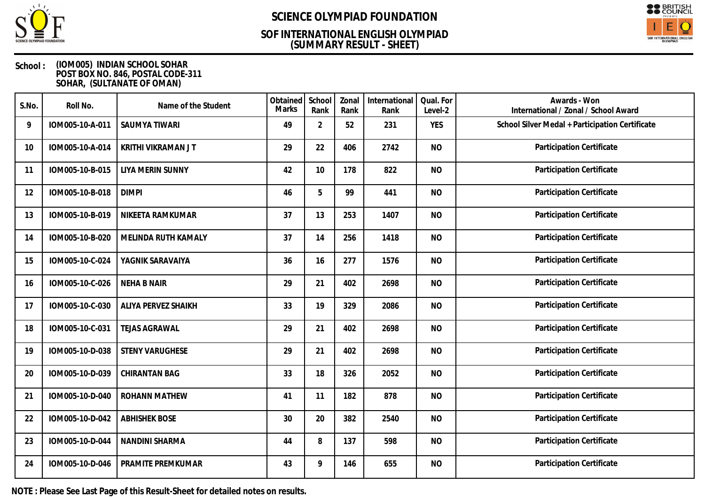

## **(SUMMARY RESULT - SHEET) SOF INTERNATIONAL ENGLISH OLYMPIAD**



### **School : (IOM005) INDIAN SCHOOL SOHAR POST BOX NO. 846, POSTAL CODE-311 SOHAR, (SULTANATE OF OMAN)**

| S.No. | Roll No.        | Name of the Student       | Obtained<br><b>Marks</b> | School<br>Rank | Zonal<br>Rank | International<br>Rank | Qual. For<br>Level-2 | Awards - Won<br>International / Zonal / School Award |
|-------|-----------------|---------------------------|--------------------------|----------------|---------------|-----------------------|----------------------|------------------------------------------------------|
| 9     | IOM005-10-A-011 | <b>SAUMYA TIWARI</b>      | 49                       | $\overline{2}$ | 52            | 231                   | <b>YES</b>           | School Silver Medal + Participation Certificate      |
| 10    | IOM005-10-A-014 | <b>KRITHI VIKRAMAN JT</b> | 29                       | 22             | 406           | 2742                  | <b>NO</b>            | Participation Certificate                            |
| 11    | IOM005-10-B-015 | LIYA MERIN SUNNY          | 42                       | 10             | 178           | 822                   | <b>NO</b>            | Participation Certificate                            |
| 12    | IOM005-10-B-018 | <b>DIMPI</b>              | 46                       | 5              | 99            | 441                   | <b>NO</b>            | Participation Certificate                            |
| 13    | IOM005-10-B-019 | NIKEETA RAMKUMAR          | 37                       | 13             | 253           | 1407                  | <b>NO</b>            | Participation Certificate                            |
| 14    | IOM005-10-B-020 | MELINDA RUTH KAMALY       | 37                       | 14             | 256           | 1418                  | <b>NO</b>            | Participation Certificate                            |
| 15    | IOM005-10-C-024 | YAGNIK SARAVAIYA          | 36                       | 16             | 277           | 1576                  | <b>NO</b>            | Participation Certificate                            |
| 16    | IOM005-10-C-026 | <b>NEHA B NAIR</b>        | 29                       | 21             | 402           | 2698                  | <b>NO</b>            | Participation Certificate                            |
| 17    | IOM005-10-C-030 | ALIYA PERVEZ SHAIKH       | 33                       | 19             | 329           | 2086                  | <b>NO</b>            | <b>Participation Certificate</b>                     |
| 18    | IOM005-10-C-031 | <b>TEJAS AGRAWAL</b>      | 29                       | 21             | 402           | 2698                  | <b>NO</b>            | Participation Certificate                            |
| 19    | IOM005-10-D-038 | <b>STENY VARUGHESE</b>    | 29                       | 21             | 402           | 2698                  | <b>NO</b>            | Participation Certificate                            |
| 20    | IOM005-10-D-039 | CHIRANTAN BAG             | 33                       | 18             | 326           | 2052                  | <b>NO</b>            | Participation Certificate                            |
| 21    | IOM005-10-D-040 | <b>ROHANN MATHEW</b>      | 41                       | 11             | 182           | 878                   | <b>NO</b>            | Participation Certificate                            |
| 22    | IOM005-10-D-042 | <b>ABHISHEK BOSE</b>      | 30                       | 20             | 382           | 2540                  | <b>NO</b>            | Participation Certificate                            |
| 23    | IOM005-10-D-044 | NANDINI SHARMA            | 44                       | 8              | 137           | 598                   | <b>NO</b>            | Participation Certificate                            |
| 24    | IOM005-10-D-046 | PRAMITE PREMKUMAR         | 43                       | 9              | 146           | 655                   | <b>NO</b>            | Participation Certificate                            |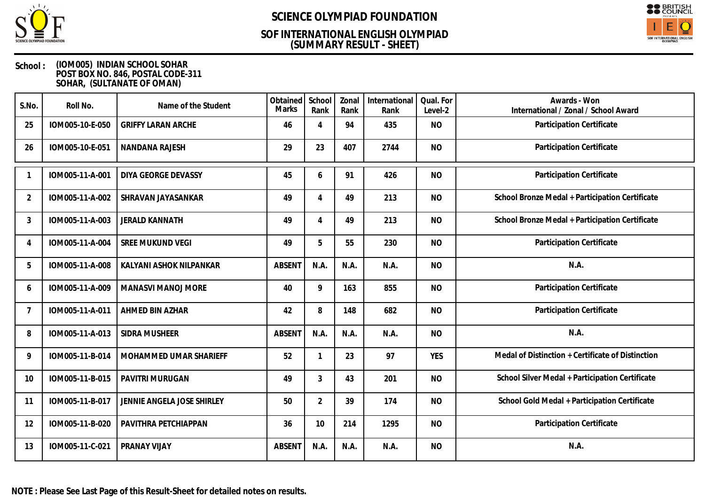

## **(SUMMARY RESULT - SHEET) SOF INTERNATIONAL ENGLISH OLYMPIAD**



### **School : (IOM005) INDIAN SCHOOL SOHAR POST BOX NO. 846, POSTAL CODE-311 SOHAR, (SULTANATE OF OMAN)**

| S.No.          | Roll No.        | Name of the Student        | Obtained<br><b>Marks</b> | School<br>Rank | Zonal<br>Rank | International<br>Rank | Qual. For<br>Level-2 | Awards - Won<br>International / Zonal / School Award |
|----------------|-----------------|----------------------------|--------------------------|----------------|---------------|-----------------------|----------------------|------------------------------------------------------|
| 25             | IOM005-10-E-050 | <b>GRIFFY LARAN ARCHE</b>  | 46                       | $\overline{4}$ | 94            | 435                   | <b>NO</b>            | Participation Certificate                            |
| 26             | IOM005-10-E-051 | NANDANA RAJESH             | 29                       | 23             | 407           | 2744                  | <b>NO</b>            | Participation Certificate                            |
|                | IOM005-11-A-001 | DIYA GEORGE DEVASSY        | 45                       | 6              | 91            | 426                   | <b>NO</b>            | Participation Certificate                            |
| $\overline{2}$ | IOM005-11-A-002 | SHRAVAN JAYASANKAR         | 49                       | 4              | 49            | 213                   | <b>NO</b>            | School Bronze Medal + Participation Certificate      |
| 3              | IOM005-11-A-003 | <b>JERALD KANNATH</b>      | 49                       | 4              | 49            | 213                   | <b>NO</b>            | School Bronze Medal + Participation Certificate      |
| 4              | IOM005-11-A-004 | SREE MUKUND VEGI           | 49                       | 5              | 55            | 230                   | <b>NO</b>            | Participation Certificate                            |
| 5              | IOM005-11-A-008 | KALYANI ASHOK NILPANKAR    | <b>ABSENT</b>            | N.A.           | N.A.          | N.A.                  | <b>NO</b>            | N.A.                                                 |
| 6              | IOM005-11-A-009 | <b>MANASVI MANOJ MORE</b>  | 40                       | 9              | 163           | 855                   | <b>NO</b>            | Participation Certificate                            |
| $\overline{7}$ | IOM005-11-A-011 | AHMED BIN AZHAR            | 42                       | 8              | 148           | 682                   | <b>NO</b>            | Participation Certificate                            |
| 8              | IOM005-11-A-013 | SIDRA MUSHEER              | <b>ABSENT</b>            | N.A.           | N.A.          | N.A.                  | <b>NO</b>            | N.A.                                                 |
| 9              | IOM005-11-B-014 | MOHAMMED UMAR SHARIEFF     | 52                       | $\mathbf{1}$   | 23            | 97                    | <b>YES</b>           | Medal of Distinction + Certificate of Distinction    |
| 10             | IOM005-11-B-015 | PAVITRI MURUGAN            | 49                       | 3              | 43            | 201                   | <b>NO</b>            | School Silver Medal + Participation Certificate      |
| 11             | IOM005-11-B-017 | JENNIE ANGELA JOSE SHIRLEY | 50                       | $\overline{2}$ | 39            | 174                   | <b>NO</b>            | School Gold Medal + Participation Certificate        |
| 12             | IOM005-11-B-020 | PAVITHRA PETCHIAPPAN       | 36                       | 10             | 214           | 1295                  | <b>NO</b>            | Participation Certificate                            |
| 13             | IOM005-11-C-021 | PRANAY VIJAY               | <b>ABSENT</b>            | N.A.           | N.A.          | N.A.                  | <b>NO</b>            | N.A.                                                 |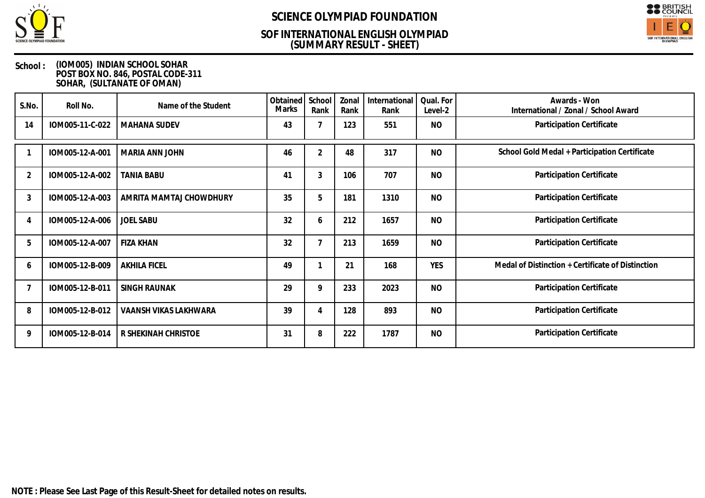

## **(SUMMARY RESULT - SHEET) SOF INTERNATIONAL ENGLISH OLYMPIAD**



### **School : (IOM005) INDIAN SCHOOL SOHAR POST BOX NO. 846, POSTAL CODE-311 SOHAR, (SULTANATE OF OMAN)**

| S.No.          | Roll No.        | Name of the Student     | Obtained<br>Marks | School<br>Rank | Zonal<br>Rank | International<br>Rank | Qual. For<br>Level-2 | Awards - Won<br>International / Zonal / School Award |
|----------------|-----------------|-------------------------|-------------------|----------------|---------------|-----------------------|----------------------|------------------------------------------------------|
| 14             | IOM005-11-C-022 | <b>MAHANA SUDEV</b>     | 43                |                | 123           | 551                   | <b>NO</b>            | Participation Certificate                            |
|                | IOM005-12-A-001 | MARIA ANN JOHN          | 46                | 2              | 48            | 317                   | <b>NO</b>            | School Gold Medal + Participation Certificate        |
| $\overline{2}$ | IOM005-12-A-002 | <b>TANIA BABU</b>       | 41                | 3              | 106           | 707                   | <b>NO</b>            | Participation Certificate                            |
| 3              | IOM005-12-A-003 | AMRITA MAMTAJ CHOWDHURY | 35                | 5              | 181           | 1310                  | <b>NO</b>            | Participation Certificate                            |
|                | IOM005-12-A-006 | <b>JOEL SABU</b>        | 32                | 6              | 212           | 1657                  | <b>NO</b>            | Participation Certificate                            |
| 5              | IOM005-12-A-007 | <b>FIZA KHAN</b>        | 32                | $\overline{7}$ | 213           | 1659                  | <b>NO</b>            | Participation Certificate                            |
| 6              | IOM005-12-B-009 | <b>AKHILA FICEL</b>     | 49                |                | 21            | 168                   | <b>YES</b>           | Medal of Distinction + Certificate of Distinction    |
|                | IOM005-12-B-011 | <b>SINGH RAUNAK</b>     | 29                | 9              | 233           | 2023                  | <b>NO</b>            | Participation Certificate                            |
| 8              | IOM005-12-B-012 | VAANSH VIKAS LAKHWARA   | 39                | 4              | 128           | 893                   | <b>NO</b>            | Participation Certificate                            |
| 9              | IOM005-12-B-014 | R SHEKINAH CHRISTOE     | 31                | 8              | 222           | 1787                  | <b>NO</b>            | Participation Certificate                            |